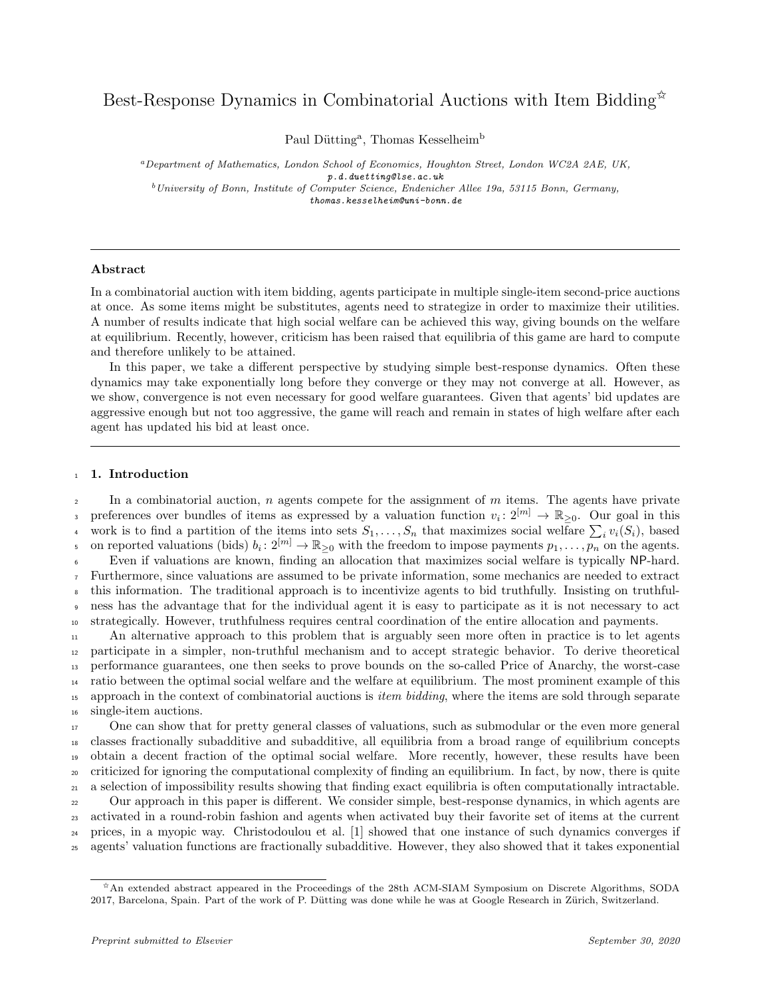# Best-Response Dynamics in Combinatorial Auctions with Item Bidding  $\overrightarrow{x}$

Paul Dütting<sup>a</sup>, Thomas Kesselheim<sup>b</sup>

<sup>a</sup>Department of Mathematics, London School of Economics, Houghton Street, London WC2A 2AE, UK, p.d.duetting@lse.ac.uk  $^{b}$  University of Bonn, Institute of Computer Science, Endenicher Allee 19a, 53115 Bonn, Germany, thomas.kesselheim@uni-bonn.de

## Abstract

In a combinatorial auction with item bidding, agents participate in multiple single-item second-price auctions at once. As some items might be substitutes, agents need to strategize in order to maximize their utilities. A number of results indicate that high social welfare can be achieved this way, giving bounds on the welfare at equilibrium. Recently, however, criticism has been raised that equilibria of this game are hard to compute and therefore unlikely to be attained.

In this paper, we take a different perspective by studying simple best-response dynamics. Often these dynamics may take exponentially long before they converge or they may not converge at all. However, as we show, convergence is not even necessary for good welfare guarantees. Given that agents' bid updates are aggressive enough but not too aggressive, the game will reach and remain in states of high welfare after each agent has updated his bid at least once.

#### <sup>1</sup> 1. Introduction

 $\alpha$  In a combinatorial auction, n agents compete for the assignment of m items. The agents have private preferences over bundles of items as expressed by a valuation function  $v_i: 2^{[m]} \to \mathbb{R}_{\geq 0}$ . Our goal in this work is to find a partition of the items into sets  $S_1, \ldots, S_n$  that maximizes social welfare  $\sum_i v_i(S_i)$ , based on reported valuations (bids)  $b_i: 2^{[m]} \to \mathbb{R}_{\geq 0}$  with the freedom to impose payments  $p_1, \ldots, p_n$  on the agents. Even if valuations are known, finding an allocation that maximizes social welfare is typically NP-hard. Furthermore, since valuations are assumed to be private information, some mechanics are needed to extract this information. The traditional approach is to incentivize agents to bid truthfully. Insisting on truthful- ness has the advantage that for the individual agent it is easy to participate as it is not necessary to act strategically. However, truthfulness requires central coordination of the entire allocation and payments. An alternative approach to this problem that is arguably seen more often in practice is to let agents participate in a simpler, non-truthful mechanism and to accept strategic behavior. To derive theoretical performance guarantees, one then seeks to prove bounds on the so-called Price of Anarchy, the worst-case

<sup>14</sup> ratio between the optimal social welfare and the welfare at equilibrium. The most prominent example of this <sup>15</sup> approach in the context of combinatorial auctions is *item bidding*, where the items are sold through separate <sup>16</sup> single-item auctions.

 One can show that for pretty general classes of valuations, such as submodular or the even more general classes fractionally subadditive and subadditive, all equilibria from a broad range of equilibrium concepts obtain a decent fraction of the optimal social welfare. More recently, however, these results have been criticized for ignoring the computational complexity of finding an equilibrium. In fact, by now, there is quite a selection of impossibility results showing that finding exact equilibria is often computationally intractable. Our approach in this paper is different. We consider simple, best-response dynamics, in which agents are activated in a round-robin fashion and agents when activated buy their favorite set of items at the current prices, in a myopic way. Christodoulou et al. [1] showed that one instance of such dynamics converges if agents' valuation functions are fractionally subadditive. However, they also showed that it takes exponential

 $*$ An extended abstract appeared in the Proceedings of the 28th ACM-SIAM Symposium on Discrete Algorithms, SODA 2017, Barcelona, Spain. Part of the work of P. Dütting was done while he was at Google Research in Zürich, Switzerland.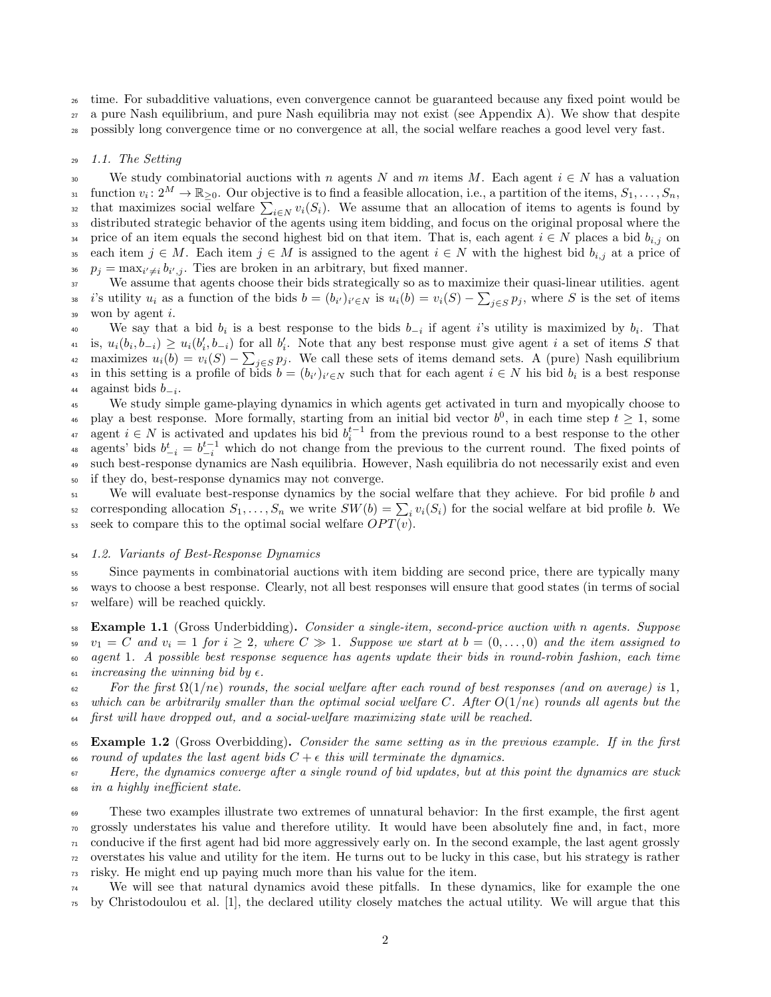<sup>26</sup> time. For subadditive valuations, even convergence cannot be guaranteed because any fixed point would be

<sup>27</sup> a pure Nash equilibrium, and pure Nash equilibria may not exist (see Appendix A). We show that despite

<sup>28</sup> possibly long convergence time or no convergence at all, the social welfare reaches a good level very fast.

## <sup>29</sup> 1.1. The Setting

30 We study combinatorial auctions with n agents N and m items M. Each agent  $i \in N$  has a valuation  $S_{31}$  function  $v_i: 2^M \to \mathbb{R}_{\geq 0}$ . Our objective is to find a feasible allocation, i.e., a partition of the items,  $S_1, \ldots, S_n$ , that maximizes social welfare  $\sum_{i\in N} v_i(S_i)$ . We assume that an allocation of items to agents is found by <sup>33</sup> distributed strategic behavior of the agents using item bidding, and focus on the original proposal where the 34 price of an item equals the second highest bid on that item. That is, each agent  $i \in N$  places a bid  $b_{i,j}$  on 35 each item  $j \in M$ . Each item  $j \in M$  is assigned to the agent  $i \in N$  with the highest bid  $b_{i,j}$  at a price of <sup>36</sup>  $p_j = \max_{i' \neq i} b_{i',j}$ . Ties are broken in an arbitrary, but fixed manner.

<sup>37</sup> We assume that agents choose their bids strategically so as to maximize their quasi-linear utilities. agent <sup>38</sup> is utility  $u_i$  as a function of the bids  $b = (b_{i'})_{i' \in N}$  is  $u_i(b) = v_i(S) - \sum_{j \in S} p_j$ , where S is the set of items  $39$  won by agent i.

We say that a bid  $b_i$  is a best response to the bids  $b_{-i}$  if agent i's utility is maximized by  $b_i$ . That  $u_i$  is,  $u_i(b_i, b_{-i}) \geq u_i(b'_i, b_{-i})$  for all  $b'_i$ . Note that any best response must give agent i a set of items S that <sup>42</sup> maximizes  $u_i(b) = v_i(S) - \sum_{j \in S} p_j$ . We call these sets of items demand sets. A (pure) Nash equilibrium 43 in this setting is a profile of bids  $b = (b_{i'})_{i' \in N}$  such that for each agent  $i \in N$  his bid  $b_i$  is a best response 44 against bids  $b_{-i}$ .

<sup>45</sup> We study simple game-playing dynamics in which agents get activated in turn and myopically choose to <sup>46</sup> play a best response. More formally, starting from an initial bid vector  $b^0$ , in each time step  $t \geq 1$ , some <sup>47</sup> agent  $i \in N$  is activated and updates his bid  $b_i^{t-1}$  from the previous round to a best response to the other <sup>48</sup> agents' bids  $b_{-i}^t = b_{-i}^{t-1}$  which do not change from the previous to the current round. The fixed points of <sup>49</sup> such best-response dynamics are Nash equilibria. However, Nash equilibria do not necessarily exist and even <sup>50</sup> if they do, best-response dynamics may not converge.

<sup>51</sup> We will evaluate best-response dynamics by the social welfare that they achieve. For bid profile b and s corresponding allocation  $S_1, \ldots, S_n$  we write  $SW(b) = \sum_i v_i(S_i)$  for the social welfare at bid profile b. We 53 seek to compare this to the optimal social welfare  $OPT(v)$ .

## <sup>54</sup> 1.2. Variants of Best-Response Dynamics

<sup>55</sup> Since payments in combinatorial auctions with item bidding are second price, there are typically many <sup>56</sup> ways to choose a best response. Clearly, not all best responses will ensure that good states (in terms of social <sup>57</sup> welfare) will be reached quickly.

 Example 1.1 (Gross Underbidding). Consider a single-item, second-price auction with n agents. Suppose  $v_1 = C$  and  $v_i = 1$  for  $i \geq 2$ , where  $C \gg 1$ . Suppose we start at  $b = (0, \ldots, 0)$  and the item assigned to agent 1. A possible best response sequence has agents update their bids in round-robin fashion, each time  $\omega$  increasing the winning bid by  $\epsilon$ .

 $\epsilon_2$  For the first  $\Omega(1/n\epsilon)$  rounds, the social welfare after each round of best responses (and on average) is 1, 63 which can be arbitrarily smaller than the optimal social welfare C. After  $O(1/n\epsilon)$  rounds all agents but the <sup>64</sup> first will have dropped out, and a social-welfare maximizing state will be reached.

 $65$  Example 1.2 (Gross Overbidding). Consider the same setting as in the previous example. If in the first 66 round of updates the last agent bids  $C + \epsilon$  this will terminate the dynamics.

<sup>67</sup> Here, the dynamics converge after a single round of bid updates, but at this point the dynamics are stuck <sup>68</sup> in a highly inefficient state.

 These two examples illustrate two extremes of unnatural behavior: In the first example, the first agent grossly understates his value and therefore utility. It would have been absolutely fine and, in fact, more conducive if the first agent had bid more aggressively early on. In the second example, the last agent grossly overstates his value and utility for the item. He turns out to be lucky in this case, but his strategy is rather risky. He might end up paying much more than his value for the item.

<sup>74</sup> We will see that natural dynamics avoid these pitfalls. In these dynamics, like for example the one <sup>75</sup> by Christodoulou et al. [1], the declared utility closely matches the actual utility. We will argue that this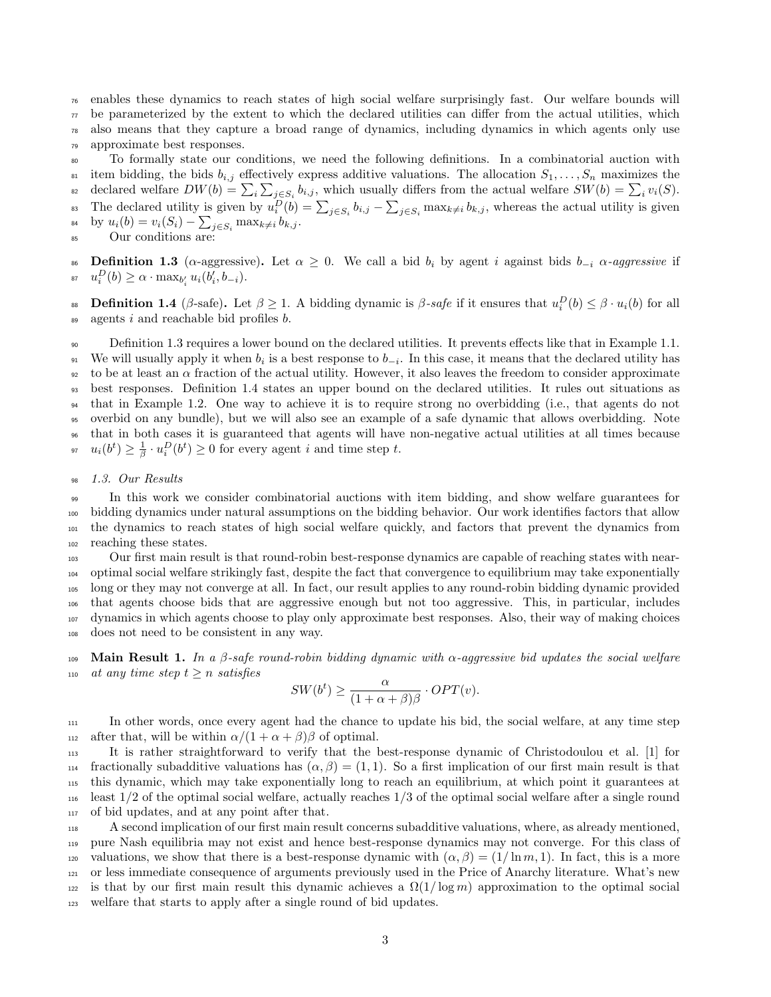<sup>76</sup> enables these dynamics to reach states of high social welfare surprisingly fast. Our welfare bounds will  $\tau$  be parameterized by the extent to which the declared utilities can differ from the actual utilities, which <sup>78</sup> also means that they capture a broad range of dynamics, including dynamics in which agents only use

<sup>79</sup> approximate best responses.

<sup>80</sup> To formally state our conditions, we need the following definitions. In a combinatorial auction with

<sup>81</sup> item bidding, the bids  $b_{i,j}$  effectively express additive valuations. The allocation  $S_1, \ldots, S_n$  maximizes the

<sup>82</sup> declared welfare  $DW(b) = \sum_i \sum_{j \in S_i} b_{i,j}$ , which usually differs from the actual welfare  $SW(b) = \sum_i v_i(S)$ . <sup>83</sup> The declared utility is given by  $u_i^D(b) = \sum_{j \in S_i} b_{i,j} - \sum_{j \in S_i} \max_{k \neq i} b_{k,j}$ , whereas the actual utility is given  $_{^{84}}$  by  $u_i(b) = v_i(S_i) - \sum_{j \in S_i} \max_{k \neq i} b_{k,j}.$ 

$$
85
$$
 Our conditions are:

86 **Definition 1.3** ( $\alpha$ -aggressive). Let  $\alpha \geq 0$ . We call a bid  $b_i$  by agent i against bids  $b_{-i}$   $\alpha$ -aggressive if <sup>87</sup>  $u_i^D(b) ≥ α ⋅ max_{b_i'} u_i(b_i', b_{-i}).$ 

**But Definition 1.4** (β-safe). Let  $\beta \ge 1$ . A bidding dynamic is β-safe if it ensures that  $u_i^D(b) \le \beta \cdot u_i(b)$  for all  $\omega$  agents i and reachable bid profiles b.

 Definition 1.3 requires a lower bound on the declared utilities. It prevents effects like that in Example 1.1. <sup>91</sup> We will usually apply it when  $b_i$  is a best response to  $b_{-i}$ . In this case, it means that the declared utility has to be at least an  $\alpha$  fraction of the actual utility. However, it also leaves the freedom to consider approximate best responses. Definition 1.4 states an upper bound on the declared utilities. It rules out situations as that in Example 1.2. One way to achieve it is to require strong no overbidding (i.e., that agents do not overbid on any bundle), but we will also see an example of a safe dynamic that allows overbidding. Note that in both cases it is guaranteed that agents will have non-negative actual utilities at all times because <sup>97</sup>  $u_i(b^t) \geq \frac{1}{\beta} \cdot u_i^D(b^t) \geq 0$  for every agent i and time step t.

## <sup>98</sup> 1.3. Our Results

 In this work we consider combinatorial auctions with item bidding, and show welfare guarantees for bidding dynamics under natural assumptions on the bidding behavior. Our work identifies factors that allow the dynamics to reach states of high social welfare quickly, and factors that prevent the dynamics from reaching these states.

 Our first main result is that round-robin best-response dynamics are capable of reaching states with near- optimal social welfare strikingly fast, despite the fact that convergence to equilibrium may take exponentially long or they may not converge at all. In fact, our result applies to any round-robin bidding dynamic provided that agents choose bids that are aggressive enough but not too aggressive. This, in particular, includes dynamics in which agents choose to play only approximate best responses. Also, their way of making choices does not need to be consistent in any way.

109 Main Result 1. In a β-safe round-robin bidding dynamic with  $\alpha$ -aggressive bid updates the social welfare 110 at any time step  $t \geq n$  satisfies

$$
SW(b^t) \ge \frac{\alpha}{(1+\alpha+\beta)\beta} \cdot OPT(v).
$$

<sup>111</sup> In other words, once every agent had the chance to update his bid, the social welfare, at any time step 112 after that, will be within  $\alpha/(1 + \alpha + \beta)\beta$  of optimal.

 It is rather straightforward to verify that the best-response dynamic of Christodoulou et al. [1] for fractionally subadditive valuations has (α, β) = (1, 1). So a first implication of our first main result is that this dynamic, which may take exponentially long to reach an equilibrium, at which point it guarantees at  $_{116}$  least  $1/2$  of the optimal social welfare, actually reaches  $1/3$  of the optimal social welfare after a single round of bid updates, and at any point after that.

 A second implication of our first main result concerns subadditive valuations, where, as already mentioned, pure Nash equilibria may not exist and hence best-response dynamics may not converge. For this class of 120 valuations, we show that there is a best-response dynamic with  $(\alpha, \beta) = (1/\ln m, 1)$ . In fact, this is a more or less immediate consequence of arguments previously used in the Price of Anarchy literature. What's new 122 is that by our first main result this dynamic achieves a  $\Omega(1/\log m)$  approximation to the optimal social welfare that starts to apply after a single round of bid updates.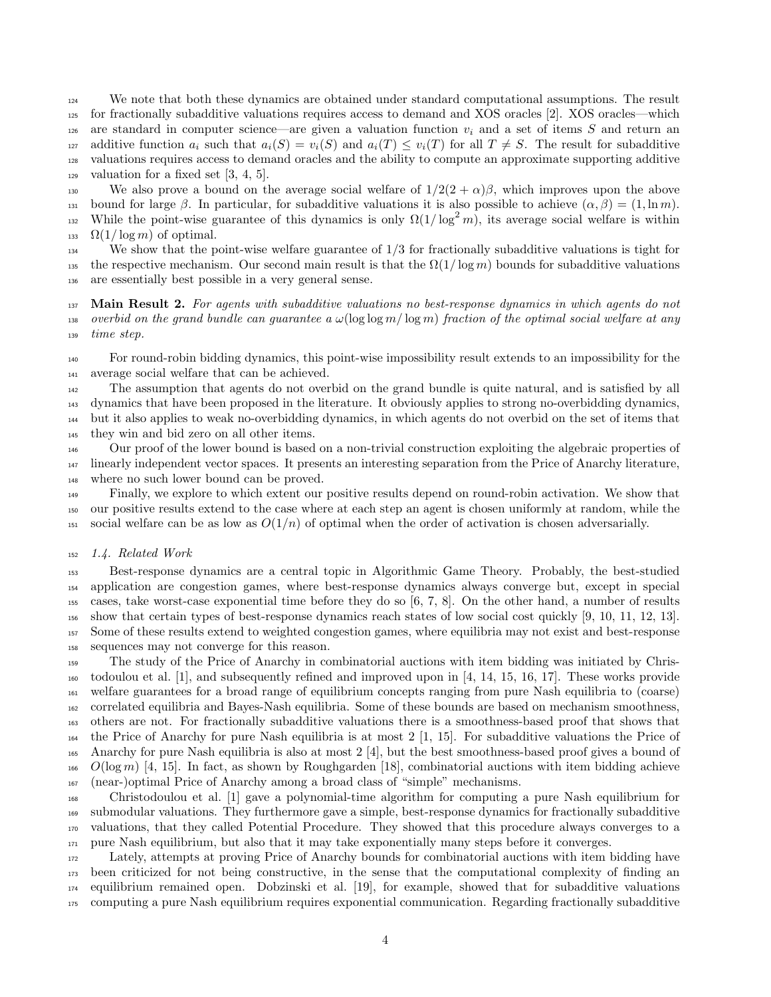We note that both these dynamics are obtained under standard computational assumptions. The result for fractionally subadditive valuations requires access to demand and XOS oracles [2]. XOS oracles—which 126 are standard in computer science—are given a valuation function  $v_i$  and a set of items S and return an 127 additive function  $a_i$  such that  $a_i(S) = v_i(S)$  and  $a_i(T) \le v_i(T)$  for all  $T \neq S$ . The result for subadditive valuations requires access to demand oracles and the ability to compute an approximate supporting additive  $_{129}$  valuation for a fixed set [3, 4, 5].

130 We also prove a bound on the average social welfare of  $1/2(2 + \alpha)\beta$ , which improves upon the above 131 bound for large  $\beta$ . In particular, for subadditive valuations it is also possible to achieve  $(\alpha, \beta) = (1, \ln m)$ . While the point-wise guarantee of this dynamics is only  $\Omega(1/\log^2 m)$ , its average social welfare is within 133  $\Omega(1/\log m)$  of optimal.

 We show that the point-wise welfare guarantee of 1/3 for fractionally subadditive valuations is tight for 135 the respective mechanism. Our second main result is that the  $\Omega(1/\log m)$  bounds for subadditive valuations are essentially best possible in a very general sense.

137 Main Result 2. For agents with subadditive valuations no best-response dynamics in which agents do not 138 overbid on the grand bundle can guarantee a  $\omega(\log \log m / \log m)$  fraction of the optimal social welfare at any time step.

 For round-robin bidding dynamics, this point-wise impossibility result extends to an impossibility for the average social welfare that can be achieved.

 The assumption that agents do not overbid on the grand bundle is quite natural, and is satisfied by all dynamics that have been proposed in the literature. It obviously applies to strong no-overbidding dynamics, but it also applies to weak no-overbidding dynamics, in which agents do not overbid on the set of items that they win and bid zero on all other items.

 Our proof of the lower bound is based on a non-trivial construction exploiting the algebraic properties of linearly independent vector spaces. It presents an interesting separation from the Price of Anarchy literature, where no such lower bound can be proved.

 Finally, we explore to which extent our positive results depend on round-robin activation. We show that our positive results extend to the case where at each step an agent is chosen uniformly at random, while the 151 social welfare can be as low as  $O(1/n)$  of optimal when the order of activation is chosen adversarially.

## 1.4. Related Work

 Best-response dynamics are a central topic in Algorithmic Game Theory. Probably, the best-studied application are congestion games, where best-response dynamics always converge but, except in special cases, take worst-case exponential time before they do so [6, 7, 8]. On the other hand, a number of results show that certain types of best-response dynamics reach states of low social cost quickly [9, 10, 11, 12, 13]. Some of these results extend to weighted congestion games, where equilibria may not exist and best-response sequences may not converge for this reason.

 The study of the Price of Anarchy in combinatorial auctions with item bidding was initiated by Chris- todoulou et al. [1], and subsequently refined and improved upon in [4, 14, 15, 16, 17]. These works provide welfare guarantees for a broad range of equilibrium concepts ranging from pure Nash equilibria to (coarse) correlated equilibria and Bayes-Nash equilibria. Some of these bounds are based on mechanism smoothness, others are not. For fractionally subadditive valuations there is a smoothness-based proof that shows that the Price of Anarchy for pure Nash equilibria is at most 2 [1, 15]. For subadditive valuations the Price of Anarchy for pure Nash equilibria is also at most 2 [4], but the best smoothness-based proof gives a bound of O(log m) [4, 15]. In fact, as shown by Roughgarden [18], combinatorial auctions with item bidding achieve (near-)optimal Price of Anarchy among a broad class of "simple" mechanisms.

 Christodoulou et al. [1] gave a polynomial-time algorithm for computing a pure Nash equilibrium for submodular valuations. They furthermore gave a simple, best-response dynamics for fractionally subadditive valuations, that they called Potential Procedure. They showed that this procedure always converges to a pure Nash equilibrium, but also that it may take exponentially many steps before it converges.

 Lately, attempts at proving Price of Anarchy bounds for combinatorial auctions with item bidding have been criticized for not being constructive, in the sense that the computational complexity of finding an equilibrium remained open. Dobzinski et al. [19], for example, showed that for subadditive valuations computing a pure Nash equilibrium requires exponential communication. Regarding fractionally subadditive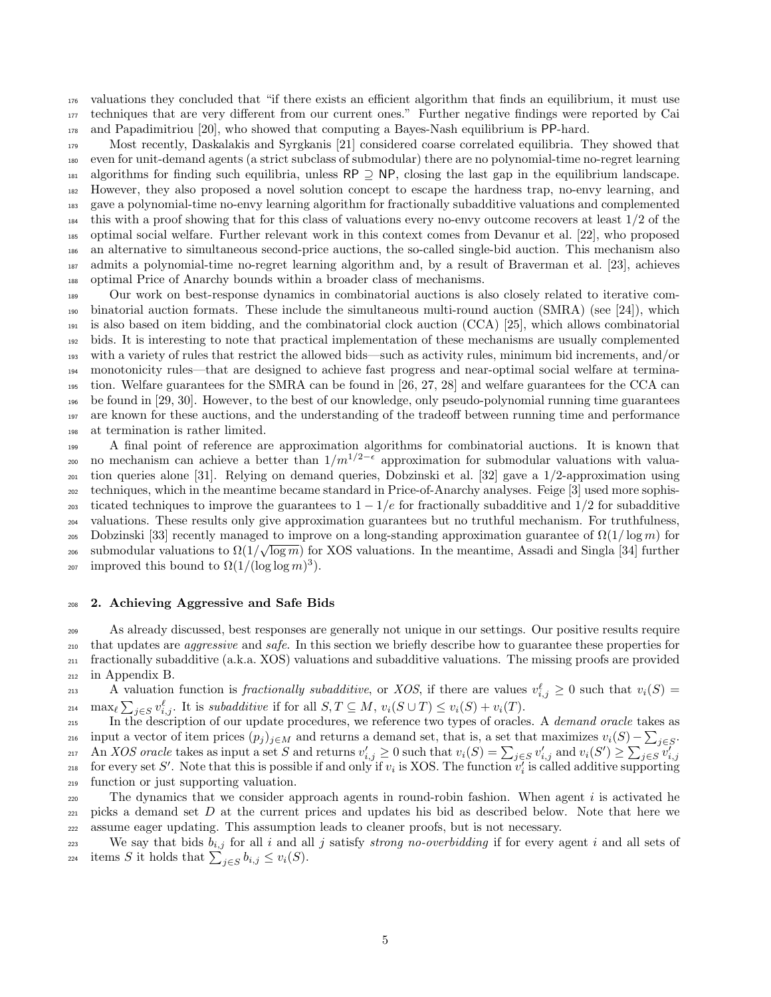valuations they concluded that "if there exists an efficient algorithm that finds an equilibrium, it must use techniques that are very different from our current ones." Further negative findings were reported by Cai and Papadimitriou [20], who showed that computing a Bayes-Nash equilibrium is PP-hard.

 Most recently, Daskalakis and Syrgkanis [21] considered coarse correlated equilibria. They showed that even for unit-demand agents (a strict subclass of submodular) there are no polynomial-time no-regret learning  $_{181}$  algorithms for finding such equilibria, unless RP  $\supset$  NP, closing the last gap in the equilibrium landscape. However, they also proposed a novel solution concept to escape the hardness trap, no-envy learning, and gave a polynomial-time no-envy learning algorithm for fractionally subadditive valuations and complemented this with a proof showing that for this class of valuations every no-envy outcome recovers at least  $1/2$  of the optimal social welfare. Further relevant work in this context comes from Devanur et al. [22], who proposed an alternative to simultaneous second-price auctions, the so-called single-bid auction. This mechanism also admits a polynomial-time no-regret learning algorithm and, by a result of Braverman et al. [23], achieves optimal Price of Anarchy bounds within a broader class of mechanisms.

 Our work on best-response dynamics in combinatorial auctions is also closely related to iterative com- binatorial auction formats. These include the simultaneous multi-round auction (SMRA) (see [24]), which is also based on item bidding, and the combinatorial clock auction (CCA) [25], which allows combinatorial bids. It is interesting to note that practical implementation of these mechanisms are usually complemented with a variety of rules that restrict the allowed bids—such as activity rules, minimum bid increments, and/or monotonicity rules—that are designed to achieve fast progress and near-optimal social welfare at termina- tion. Welfare guarantees for the SMRA can be found in [26, 27, 28] and welfare guarantees for the CCA can be found in [29, 30]. However, to the best of our knowledge, only pseudo-polynomial running time guarantees are known for these auctions, and the understanding of the tradeoff between running time and performance at termination is rather limited.

 A final point of reference are approximation algorithms for combinatorial auctions. It is known that <sub>200</sub> no mechanism can achieve a better than  $1/m^{1/2-\epsilon}$  approximation for submodular valuations with valua- tion queries alone [31]. Relying on demand queries, Dobzinski et al. [32] gave a 1/2-approximation using techniques, which in the meantime became standard in Price-of-Anarchy analyses. Feige [3] used more sophis-203 ticated techniques to improve the guarantees to  $1 - 1/e$  for fractionally subadditive and  $1/2$  for subadditive valuations. These results only give approximation guarantees but no truthful mechanism. For truthfulness, 205 Dobzinski [33] recently managed to improve on a long-standing approximation guarantee of  $\Omega(1/\log m)$  for <sup>206</sup> submodular valuations to  $\Omega(1/\sqrt{\log m})$  for XOS valuations. In the meantime, Assadi and Singla [34] further  $_{207}$  improved this bound to  $\Omega(1/(\log \log m)^3)$ .

#### 2. Achieving Aggressive and Safe Bids

 As already discussed, best responses are generally not unique in our settings. Our positive results require <sub>210</sub> that updates are *aggressive* and *safe*. In this section we briefly describe how to guarantee these properties for fractionally subadditive (a.k.a. XOS) valuations and subadditive valuations. The missing proofs are provided in Appendix B.

213 A valuation function is fractionally subadditive, or XOS, if there are values  $v_{i,j}^{\ell} \geq 0$  such that  $v_i(S)$ 214  $\max_{\ell} \sum_{j \in S} v_{i,j}^{\ell}$ . It is subadditive if for all  $S, T \subseteq M$ ,  $v_i(S \cup T) \le v_i(S) + v_i(T)$ .

215 In the description of our update procedures, we reference two types of oracles. A *demand oracle* takes as <sub>216</sub> input a vector of item prices  $(p_j)_{j\in M}$  and returns a demand set, that is, a set that maximizes  $v_i(S) - \sum_{j\in S}$ . 217 An *XOS oracle* takes as input a set S and returns  $v'_{i,j} \geq 0$  such that  $v_i(S) = \sum_{j \in S} v'_{i,j}$  and  $v_i(S') \geq \sum_{j \in S} v'_{i,j}$ 218 for every set S'. Note that this is possible if and only if  $v_i$  is XOS. The function  $v_i$  is called additive supporting function or just supporting valuation.

220 The dynamics that we consider approach agents in round-robin fashion. When agent  $i$  is activated he  $_{221}$  picks a demand set D at the current prices and updates his bid as described below. Note that here we assume eager updating. This assumption leads to cleaner proofs, but is not necessary.

223 We say that bids  $b_{i,j}$  for all i and all j satisfy strong no-overbidding if for every agent i and all sets of <sup>224</sup> items S it holds that  $\sum_{j \in S} b_{i,j} \leq v_i(S)$ .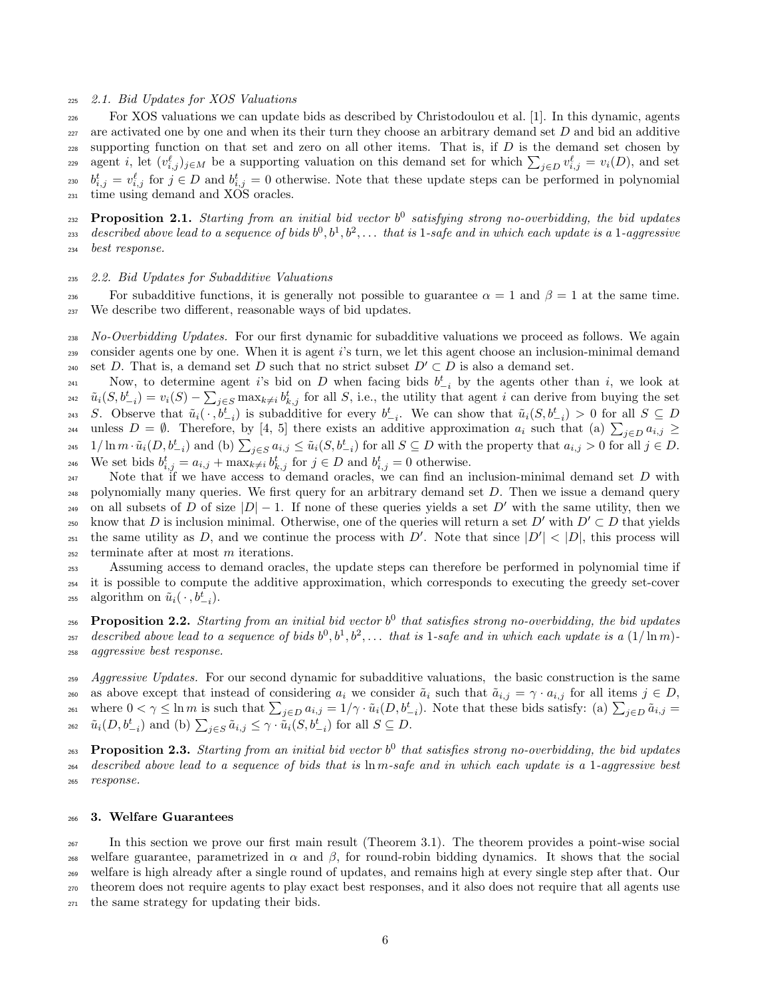## <sup>225</sup> 2.1. Bid Updates for XOS Valuations

<sup>226</sup> For XOS valuations we can update bids as described by Christodoulou et al. [1]. In this dynamic, agents  $227$  are activated one by one and when its their turn they choose an arbitrary demand set  $D$  and bid an additive 228 supporting function on that set and zero on all other items. That is, if  $D$  is the demand set chosen by agent i, let  $(v_{i,j}^{\ell})_{j\in M}$  be a supporting valuation on this demand set for which  $\sum_{j\in D} v_{i,j}^{\ell} = v_i(D)$ , and set <sup>230</sup>  $b_{i,j}^t = v_{i,j}^\ell$  for  $j \in D$  and  $b_{i,j}^t = 0$  otherwise. Note that these update steps can be performed in polynomial <sup>231</sup> time using demand and XOS oracles.

**Proposition 2.1.** Starting from an initial bid vector  $b^0$  satisfying strong no-overbidding, the bid updates  $\alpha_{233}$  described above lead to a sequence of bids  $b^0,b^1,b^2,\ldots$  that is 1-safe and in which each update is a 1-aggressive <sup>234</sup> best response.

#### <sup>235</sup> 2.2. Bid Updates for Subadditive Valuations

236 For subadditive functions, it is generally not possible to guarantee  $\alpha = 1$  and  $\beta = 1$  at the same time. <sup>237</sup> We describe two different, reasonable ways of bid updates.

<sup>238</sup> No-Overbidding Updates. For our first dynamic for subadditive valuations we proceed as follows. We again <sup>239</sup> consider agents one by one. When it is agent i's turn, we let this agent choose an inclusion-minimal demand 240 set D. That is, a demand set D such that no strict subset  $D' \subset D$  is also a demand set.

Now, to determine agent is bid on D when facing bids  $b_{-i}^t$  by the agents other than i, we look at  $\tilde{u}_i(S, b_{-i}^t) = v_i(S) - \sum_{j \in S} \max_{k \neq i} b_{k,j}^t$  for all S, i.e., the utility that agent i can derive from buying the set 243 S. Observe that  $\tilde{u}_i(\cdot, b_{-i}^t)$  is subadditive for every  $b_{-i}^t$ . We can show that  $\tilde{u}_i(S, b_{-i}^t) > 0$  for all  $S \subseteq D$ unless  $D = \emptyset$ . Therefore, by [4, 5] there exists an additive approximation  $a_i$  such that (a)  $\sum_{j\in D} a_{i,j} \ge$  $\tilde{u}_i(0, b_{-i}^t)$  and (b)  $\sum_{j \in S} a_{i,j} \leq \tilde{u}_i(S, b_{-i}^t)$  for all  $S \subseteq D$  with the property that  $a_{i,j} > 0$  for all  $j \in D$ . <sup>246</sup> We set bids  $b_{i,j}^t = a_{i,j} + \max_{k \neq i} b_{k,j}^t$  for  $j \in D$  and  $b_{i,j}^t = 0$  otherwise.

247 Note that if we have access to demand oracles, we can find an inclusion-minimal demand set D with  $_{248}$  polynomially many queries. We first query for an arbitrary demand set D. Then we issue a demand query 249 on all subsets of D of size  $|D|-1$ . If none of these queries yields a set D' with the same utility, then we 250 know that D is inclusion minimal. Otherwise, one of the queries will return a set D' with  $D' \subset D$  that yields the same utility as D, and we continue the process with D'. Note that since  $|D'| < |D|$ , this process will <sup>252</sup> terminate after at most m iterations.

<sup>253</sup> Assuming access to demand oracles, the update steps can therefore be performed in polynomial time if <sup>254</sup> it is possible to compute the additive approximation, which corresponds to executing the greedy set-cover <sup>255</sup> algorithm on  $\tilde{u}_i(\cdot, b_{-i}^t)$ .

 $_{256}$  Proposition 2.2. Starting from an initial bid vector  $b^0$  that satisfies strong no-overbidding, the bid updates <sup>257</sup> described above lead to a sequence of bids  $b^0, b^1, b^2, \ldots$  that is 1-safe and in which each update is a  $(1/\ln m)$ -<sup>258</sup> aggressive best response.

259 Aggressive Updates. For our second dynamic for subadditive valuations, the basic construction is the same 260 as above except that instead of considering  $a_i$  we consider  $\tilde{a}_i$  such that  $\tilde{a}_{i,j} = \gamma \cdot a_{i,j}$  for all items  $j \in D$ , <sup>261</sup> where  $0 < \gamma \le \ln m$  is such that  $\sum_{j \in D} a_{i,j} = 1/\gamma \cdot \tilde{u}_i(D, b_{-i}^t)$ . Note that these bids satisfy: (a)  $\sum_{j \in D} \tilde{a}_{i,j} =$ <sup>262</sup>  $\tilde{u}_i(D, b_{-i}^t)$  and (b)  $\sum_{j \in S} \tilde{a}_{i,j} \leq \gamma \cdot \tilde{u}_i(S, b_{-i}^t)$  for all  $S \subseteq D$ .

 $P_{\text{top}}$  Proposition 2.3. Starting from an initial bid vector  $b^0$  that satisfies strong no-overbidding, the bid updates <sup>264</sup> described above lead to a sequence of bids that is ln m-safe and in which each update is a 1-aggressive best <sup>265</sup> response.

## <sup>266</sup> 3. Welfare Guarantees

 In this section we prove our first main result (Theorem 3.1). The theorem provides a point-wise social <sup>268</sup> welfare guarantee, parametrized in α and β, for round-robin bidding dynamics. It shows that the social welfare is high already after a single round of updates, and remains high at every single step after that. Our theorem does not require agents to play exact best responses, and it also does not require that all agents use the same strategy for updating their bids.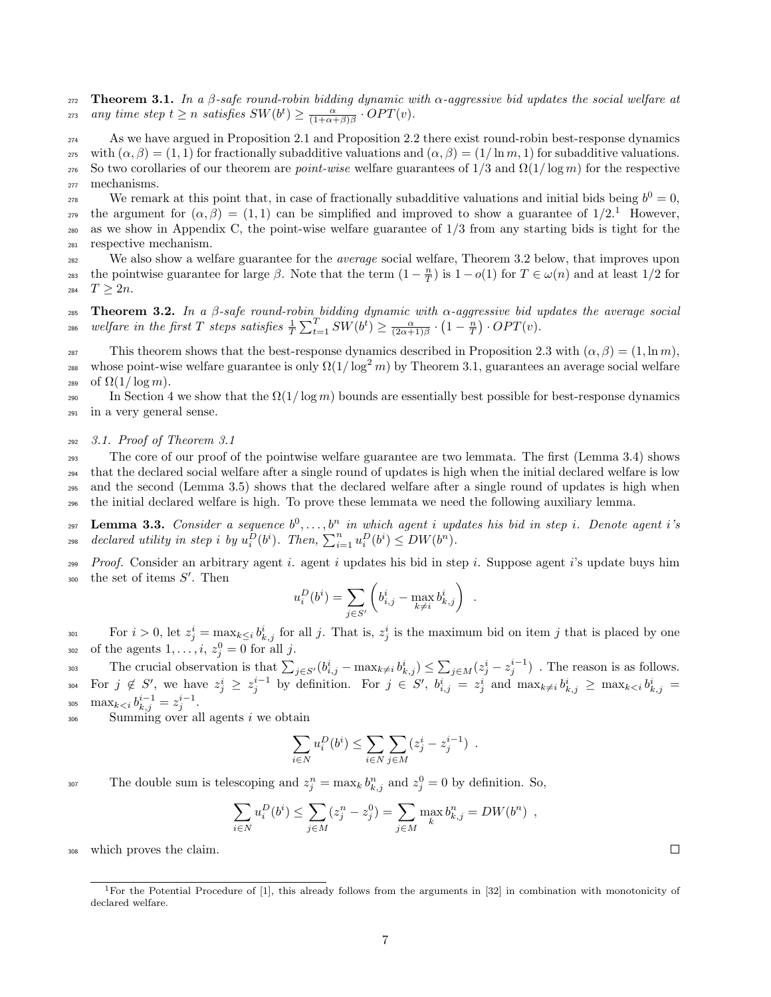272 Theorem 3.1. In a  $\beta$ -safe round-robin bidding dynamic with  $\alpha$ -aggressive bid updates the social welfare at <sup>273</sup> any time step  $t \geq n$  satisfies  $SW(b^t) \geq \frac{\alpha}{(1+\alpha+\beta)\beta} \cdot OPT(v)$ .

<sup>274</sup> As we have argued in Proposition 2.1 and Proposition 2.2 there exist round-robin best-response dynamics 275 with  $(\alpha, \beta) = (1, 1)$  for fractionally subadditive valuations and  $(\alpha, \beta) = (1/\ln m, 1)$  for subadditive valuations. 276 So two corollaries of our theorem are *point-wise* welfare guarantees of  $1/3$  and  $\Omega(1/\log m)$  for the respective <sup>277</sup> mechanisms.

We remark at this point that, in case of fractionally subadditive valuations and initial bids being  $b^0 = 0$ , the argument for  $(\alpha, \beta) = (1, 1)$  can be simplified and improved to show a guarantee of  $1/2$ .<sup>1</sup> However, <sup>280</sup> as we show in Appendix C, the point-wise welfare guarantee of 1/3 from any starting bids is tight for the <sup>281</sup> respective mechanism.

<sup>282</sup> We also show a welfare guarantee for the *average* social welfare, Theorem 3.2 below, that improves upon the pointwise guarantee for large  $\beta$ . Note that the term  $(1 - \frac{n}{T})$  is  $1 - o(1)$  for  $T \in \omega(n)$  and at least  $1/2$  for 284  $T > 2n$ .

285 Theorem 3.2. In a β-safe round-robin bidding dynamic with  $\alpha$ -aggressive bid updates the average social <sup>286</sup> welfare in the first T steps satisfies  $\frac{1}{T} \sum_{t=1}^T SW(b^t) \ge \frac{\alpha}{(2\alpha+1)\beta} \cdot (1-\frac{n}{T}) \cdot OPT(v)$ .

287 This theorem shows that the best-response dynamics described in Proposition 2.3 with  $(\alpha, \beta) = (1, \ln m)$ , <sup>288</sup> whose point-wise welfare guarantee is only  $\Omega(1/\log^2 m)$  by Theorem 3.1, guarantees an average social welfare 289 of  $\Omega(1/\log m)$ .

290 In Section 4 we show that the  $\Omega(1/\log m)$  bounds are essentially best possible for best-response dynamics <sup>291</sup> in a very general sense.

## <sup>292</sup> 3.1. Proof of Theorem 3.1

 The core of our proof of the pointwise welfare guarantee are two lemmata. The first (Lemma 3.4) shows that the declared social welfare after a single round of updates is high when the initial declared welfare is low and the second (Lemma 3.5) shows that the declared welfare after a single round of updates is high when the initial declared welfare is high. To prove these lemmata we need the following auxiliary lemma.

297 Lemma 3.3. Consider a sequence  $b^0, \ldots, b^n$  in which agent i updates his bid in step i. Denote agent i's  $\text{298} \quad \text{declarging in step i by } u_i^{\tilde{D}}(b^i) \quad \text{Then, } \sum_{i=1}^n u_i^D(b^i) \leq DW(b^n).$ 

*Proof.* Consider an arbitrary agent i. agent i updates his bid in step i. Suppose agent i's update buys him  $300$  the set of items  $S'$ . Then

$$
u_i^D(b^i) = \sum_{j \in S'} \left( b_{i,j}^i - \max_{k \neq i} b_{k,j}^i \right)
$$

.

For  $i > 0$ , let  $z_j^i = \max_{k \leq i} b_{k,j}^i$  for all j. That is,  $z_j^i$  is the maximum bid on item j that is placed by one  $_{302}$  of the agents  $1, \ldots, i, z_j^0 = 0$  for all j.

The crucial observation is that  $\sum_{j \in S'} (b_{i,j}^i - \max_{k \neq i} b_{k,j}^i) \leq \sum_{j \in M} (z_j^i - z_j^{i-1})$ . The reason is as follows. 304 For  $j \notin S'$ , we have  $z_j^i \geq z_j^{i-1}$  by definition. For  $j \in S'$ ,  $b_{i,j}^i = z_j^i$  and  $\max_{k \neq i} b_{k,j}^i \geq \max_{k \leq i} b_{k,j}^i =$ 305  $\max_{k \lt i} b_{k,j}^{i-1} = z_j^{i-1}.$ 

 $_{306}$  Summing over all agents i we obtain

$$
\sum_{i \in N} u_i^D(b^i) \le \sum_{i \in N} \sum_{j \in M} (z_j^i - z_j^{i-1}) \enspace .
$$

307 The double sum is telescoping and  $z_j^n = \max_k b_{k,j}^n$  and  $z_j^0 = 0$  by definition. So,

$$
\sum_{i \in N} u_i^D(b^i) \le \sum_{j \in M} (z_j^n - z_j^0) = \sum_{j \in M} \max_k b_{k,j}^n = DW(b^n) ,
$$

which proves the claim.

<sup>&</sup>lt;sup>1</sup>For the Potential Procedure of [1], this already follows from the arguments in [32] in combination with monotonicity of declared welfare.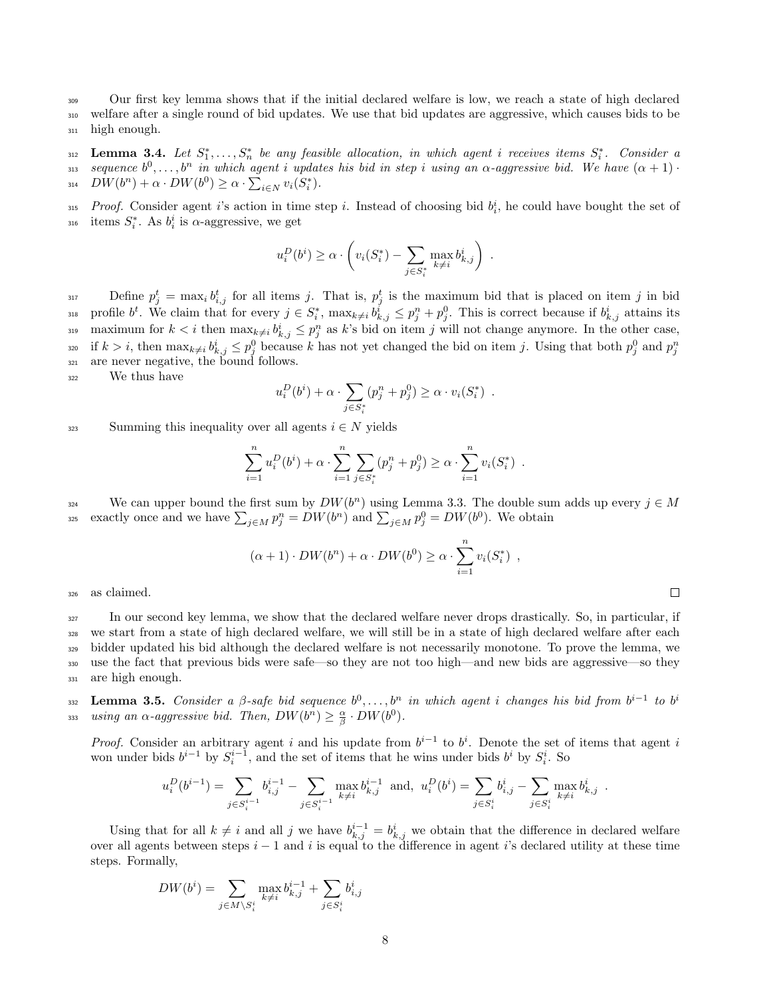<sup>309</sup> Our first key lemma shows that if the initial declared welfare is low, we reach a state of high declared <sup>310</sup> welfare after a single round of bid updates. We use that bid updates are aggressive, which causes bids to be <sup>311</sup> high enough.

 $\sum_{n=1}^{\infty}$  **Lemma 3.4.** Let  $S_1^*, \ldots, S_n^*$  be any feasible allocation, in which agent i receives items  $S_i^*$ . Consider a 313 sequence  $b^0, \ldots, b^n$  in which agent i updates his bid in step i using an  $\alpha$ -aggressive bid. We have  $(\alpha + 1)$ 314  $DW(b^n) + \alpha \cdot DW(b^0) \ge \alpha \cdot \sum_{i \in N} v_i(S_i^*).$ 

<sup>315</sup> Proof. Consider agent i's action in time step i. Instead of choosing bid  $b_i^i$ , he could have bought the set of  $\lim_{i \to \infty} S_i^*$ . As  $b_i^i$  is  $\alpha$ -aggressive, we get

$$
u_i^D(b^i) \ge \alpha \cdot \left(v_i(S_i^*) - \sum_{j \in S_i^*} \max_{k \ne i} b_{k,j}^i\right)
$$

.

Define  $p_j^t = \max_i b_{i,j}^t$  for all items j. That is,  $p_j^t$  is the maximum bid that is placed on item j in bid <sup>318</sup> profile  $b^t$ . We claim that for every  $j \in S_i^*$ ,  $\max_{k \neq i} b_{k,j}^i \leq p_j^n + p_j^0$ . This is correct because if  $b_{k,j}^i$  attains its 319 maximum for  $k < i$  then  $\max_{k \neq i} b^i_{k,j} \leq p^n_j$  as k's bid on item j will not change anymore. In the other case, if  $k > i$ , then  $\max_{k \neq i} b_{k,j}^i \leq p_j^0$  because k has not yet changed the bid on item j. Using that both  $p_j^0$  and  $p_j^n$ 320 <sup>321</sup> are never negative, the bound follows.

<sup>322</sup> We thus have

$$
u_i^D(b^i) + \alpha \cdot \sum_{j \in S_i^*} (p_j^n + p_j^0) \ge \alpha \cdot v_i(S_i^*) .
$$

323 Summing this inequality over all agents  $i \in N$  yields

$$
\sum_{i=1}^{n} u_i^D(b^i) + \alpha \cdot \sum_{i=1}^{n} \sum_{j \in S_i^*} (p_j^n + p_j^0) \ge \alpha \cdot \sum_{i=1}^{n} v_i(S_i^*) .
$$

We can upper bound the first sum by  $DW(b^n)$  using Lemma 3.3. The double sum adds up every  $j \in M$ <sup>325</sup> exactly once and we have  $\sum_{j\in M} p_j^n = DW(b^n)$  and  $\sum_{j\in M} p_j^0 = DW(b^0)$ . We obtain

$$
(\alpha + 1) \cdot DW(b^n) + \alpha \cdot DW(b^0) \ge \alpha \cdot \sum_{i=1}^n v_i(S_i^*) ,
$$

<sup>326</sup> as claimed.

 In our second key lemma, we show that the declared welfare never drops drastically. So, in particular, if we start from a state of high declared welfare, we will still be in a state of high declared welfare after each bidder updated his bid although the declared welfare is not necessarily monotone. To prove the lemma, we use the fact that previous bids were safe—so they are not too high—and new bids are aggressive—so they are high enough.

**Lemma 3.5.** Consider a  $\beta$ -safe bid sequence  $b^0, \ldots, b^n$  in which agent i changes his bid from  $b^{i-1}$  to  $b^i$ 332 333 using an  $\alpha$ -aggressive bid. Then,  $DW(b^n) \geq \frac{\alpha}{\beta} \cdot DW(b^0)$ .

*Proof.* Consider an arbitrary agent i and his update from  $b^{i-1}$  to  $b^i$ . Denote the set of items that agent i won under bids  $b^{i-1}$  by  $S_i^{i-1}$ , and the set of items that he wins under bids  $b^i$  by  $S_i^i$ . So

$$
u_i^D(b^{i-1}) = \sum_{j \in S_i^{i-1}} b_{i,j}^{i-1} - \sum_{j \in S_i^{i-1}} \max_{k \neq i} b_{k,j}^{i-1} \text{ and, } u_i^D(b^i) = \sum_{j \in S_i^i} b_{i,j}^i - \sum_{j \in S_i^i} \max_{k \neq i} b_{k,j}^i.
$$

Using that for all  $k \neq i$  and all j we have  $b_{k,j}^{i-1} = b_{k,j}^i$  we obtain that the difference in declared welfare over all agents between steps  $i - 1$  and i is equal to the difference in agent i's declared utility at these time steps. Formally,

$$
DW(b^i) = \sum_{j \in M \setminus S_i^i} \max_{k \neq i} b_{k,j}^{i-1} + \sum_{j \in S_i^i} b_{i,j}^i
$$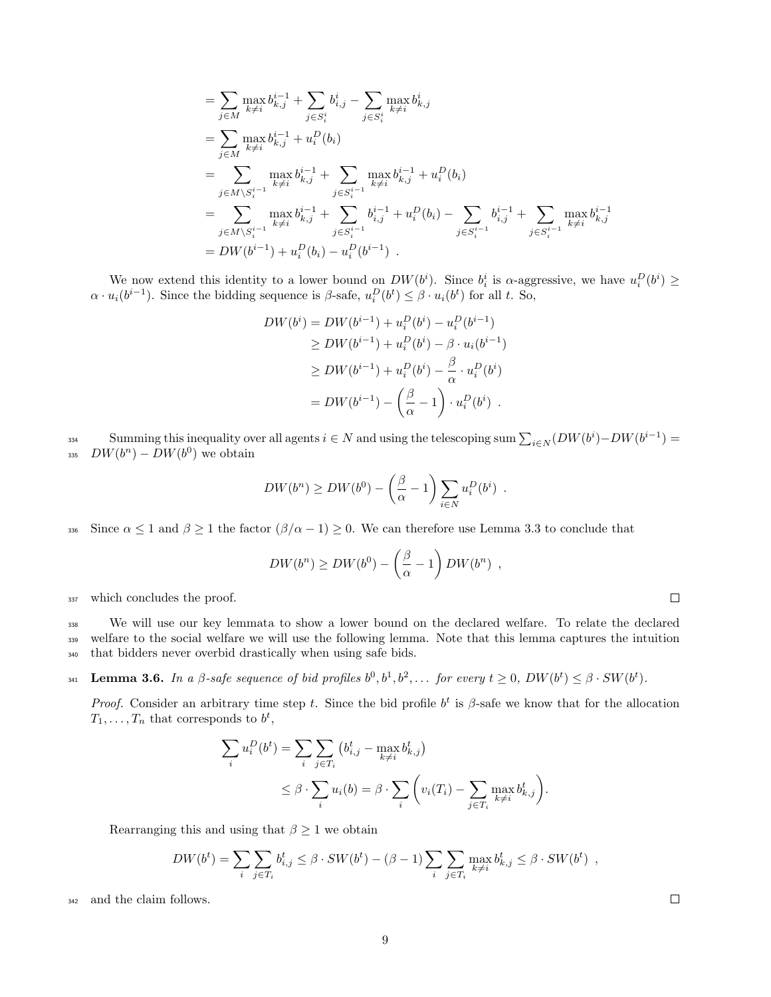$$
= \sum_{j \in M} \max_{k \neq i} b_{k,j}^{i-1} + \sum_{j \in S_i^i} b_{i,j}^i - \sum_{j \in S_i^i} \max_{k \neq i} b_{k,j}^i
$$
  
\n
$$
= \sum_{j \in M} \max_{k \neq i} b_{k,j}^{i-1} + u_i^D(b_i)
$$
  
\n
$$
= \sum_{j \in M \setminus S_i^{i-1}} \max_{k \neq i} b_{k,j}^{i-1} + \sum_{j \in S_i^{i-1}} \max_{k \neq i} b_{k,j}^{i-1} + u_i^D(b_i)
$$
  
\n
$$
= \sum_{j \in M \setminus S_i^{i-1}} \max_{k \neq i} b_{k,j}^{i-1} + \sum_{j \in S_i^{i-1}} b_{i,j}^{i-1} + u_i^D(b_i) - \sum_{j \in S_i^{i-1}} b_{i,j}^{i-1} + \sum_{j \in S_i^{i-1}} \max_{k \neq i} b_{k,j}^{i-1}
$$
  
\n
$$
= DW(b^{i-1}) + u_i^D(b_i) - u_i^D(b^{i-1}) .
$$

We now extend this identity to a lower bound on  $DW(b^i)$ . Since  $b_i^i$  is  $\alpha$ -aggressive, we have  $u_i^D(b^i) \geq$  $\alpha \cdot u_i(b^{i-1})$ . Since the bidding sequence is  $\beta$ -safe,  $u_i^D(b^t) \leq \beta \cdot u_i(b^t)$  for all t. So,

$$
DW(b^{i}) = DW(b^{i-1}) + u_i^D(b^{i}) - u_i^D(b^{i-1})
$$
  
\n
$$
\ge DW(b^{i-1}) + u_i^D(b^{i}) - \beta \cdot u_i(b^{i-1})
$$
  
\n
$$
\ge DW(b^{i-1}) + u_i^D(b^{i}) - \frac{\beta}{\alpha} \cdot u_i^D(b^{i})
$$
  
\n
$$
= DW(b^{i-1}) - (\frac{\beta}{\alpha} - 1) \cdot u_i^D(b^{i}).
$$

Summing this inequality over all agents  $i \in N$  and using the telescoping sum  $\sum_{i \in N} (DW(b^i) - DW(b^{i-1}))$ 335  $DW(b^n) - DW(b^0)$  we obtain

$$
DW(b^n) \ge DW(b^0) - \left(\frac{\beta}{\alpha} - 1\right) \sum_{i \in N} u_i^D(b^i) .
$$

336 Since  $\alpha \leq 1$  and  $\beta \geq 1$  the factor  $(\beta/\alpha - 1) \geq 0$ . We can therefore use Lemma 3.3 to conclude that

$$
DW(b^n) \ge DW(b^0) - \left(\frac{\beta}{\alpha} - 1\right) DW(b^n) ,
$$

<sup>337</sup> which concludes the proof.

<sup>338</sup> We will use our key lemmata to show a lower bound on the declared welfare. To relate the declared <sup>339</sup> welfare to the social welfare we will use the following lemma. Note that this lemma captures the intuition <sup>340</sup> that bidders never overbid drastically when using safe bids.

**Lemma 3.6.** In a β-safe sequence of bid profiles  $b^0, b^1, b^2, \ldots$  for every  $t \geq 0$ ,  $DW(b^t) \leq \beta \cdot SW(b^t)$ .

Proof. Consider an arbitrary time step t. Since the bid profile  $b^t$  is  $\beta$ -safe we know that for the allocation  $T_1, \ldots, T_n$  that corresponds to  $b^t$ ,

$$
\sum_{i} u_i^D(b^t) = \sum_{i} \sum_{j \in T_i} (b^t_{i,j} - \max_{k \neq i} b^t_{k,j})
$$
  
 
$$
\leq \beta \cdot \sum_{i} u_i(b) = \beta \cdot \sum_{i} \left( v_i(T_i) - \sum_{j \in T_i} \max_{k \neq i} b^t_{k,j} \right).
$$

Rearranging this and using that  $\beta \geq 1$  we obtain

$$
DW(b^t) = \sum_i \sum_{j \in T_i} b^t_{i,j} \leq \beta \cdot SW(b^t) - (\beta - 1) \sum_i \sum_{j \in T_i} \max_{k \neq i} b^t_{k,j} \leq \beta \cdot SW(b^t) ,
$$

<sup>342</sup> and the claim follows.

9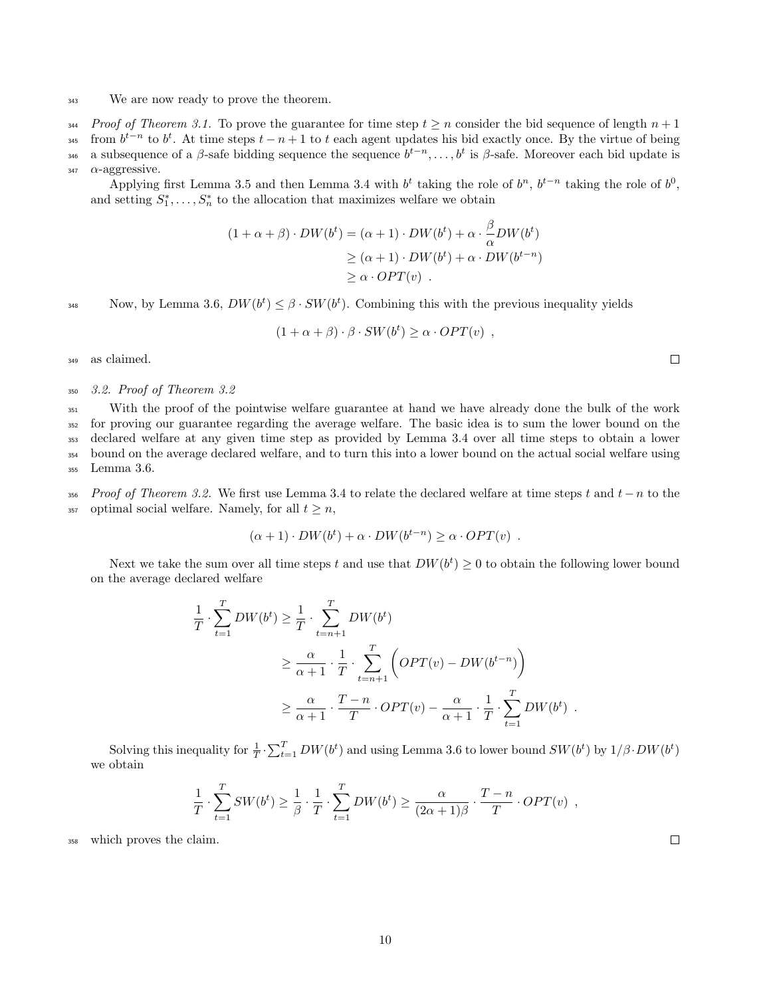#### <sup>343</sup> We are now ready to prove the theorem.

344 Proof of Theorem 3.1. To prove the guarantee for time step  $t \geq n$  consider the bid sequence of length  $n + 1$ 

<sup>345</sup> from  $b^{t-n}$  to  $b^t$ . At time steps  $t - n + 1$  to t each agent updates his bid exactly once. By the virtue of being

<sup>346</sup> a subsequence of a β-safe bidding sequence the sequence  $b^{t-n}, \ldots, b^t$  is β-safe. Moreover each bid update is

## $\alpha$ -aggressive.

Applying first Lemma 3.5 and then Lemma 3.4 with  $b<sup>t</sup>$  taking the role of  $b<sup>n</sup>$ ,  $b<sup>t-n</sup>$  taking the role of  $b<sup>0</sup>$ , and setting  $S_1^*, \ldots, S_n^*$  to the allocation that maximizes welfare we obtain

$$
(1 + \alpha + \beta) \cdot DW(b^t) = (\alpha + 1) \cdot DW(b^t) + \alpha \cdot \frac{\beta}{\alpha} DW(b^t)
$$
  
\n
$$
\geq (\alpha + 1) \cdot DW(b^t) + \alpha \cdot DW(b^{t-n})
$$
  
\n
$$
\geq \alpha \cdot OPT(v) .
$$

Now, by Lemma 3.6,  $DW(b^t) \leq \beta \cdot SW(b^t)$ . Combining this with the previous inequality yields

$$
(1 + \alpha + \beta) \cdot \beta \cdot SW(b^t) \ge \alpha \cdot OPT(v) ,
$$

<sup>349</sup> as claimed.

#### <sup>350</sup> 3.2. Proof of Theorem 3.2

 With the proof of the pointwise welfare guarantee at hand we have already done the bulk of the work for proving our guarantee regarding the average welfare. The basic idea is to sum the lower bound on the declared welfare at any given time step as provided by Lemma 3.4 over all time steps to obtain a lower bound on the average declared welfare, and to turn this into a lower bound on the actual social welfare using Lemma 3.6.

356 Proof of Theorem 3.2. We first use Lemma 3.4 to relate the declared welfare at time steps t and  $t-n$  to the 357 optimal social welfare. Namely, for all  $t > n$ ,

$$
(\alpha + 1) \cdot DW(b^t) + \alpha \cdot DW(b^{t-n}) \ge \alpha \cdot OPT(v) .
$$

Next we take the sum over all time steps t and use that  $DW(b^t) \geq 0$  to obtain the following lower bound on the average declared welfare

$$
\frac{1}{T} \cdot \sum_{t=1}^{T} DW(b^t) \ge \frac{1}{T} \cdot \sum_{t=n+1}^{T} DW(b^t)
$$
\n
$$
\ge \frac{\alpha}{\alpha+1} \cdot \frac{1}{T} \cdot \sum_{t=n+1}^{T} \left( OPT(v) - DW(b^{t-n}) \right)
$$
\n
$$
\ge \frac{\alpha}{\alpha+1} \cdot \frac{T-n}{T} \cdot OPT(v) - \frac{\alpha}{\alpha+1} \cdot \frac{1}{T} \cdot \sum_{t=1}^{T} DW(b^t) .
$$

Solving this inequality for  $\frac{1}{T} \cdot \sum_{t=1}^{T} DW(b^t)$  and using Lemma 3.6 to lower bound  $SW(b^t)$  by  $1/\beta \cdot DW(b^t)$ we obtain

$$
\frac{1}{T} \cdot \sum_{t=1}^{T} SW(b^t) \ge \frac{1}{\beta} \cdot \frac{1}{T} \cdot \sum_{t=1}^{T} DW(b^t) \ge \frac{\alpha}{(2\alpha+1)\beta} \cdot \frac{T-n}{T} \cdot OPT(v) ,
$$

<sup>358</sup> which proves the claim.

 $\Box$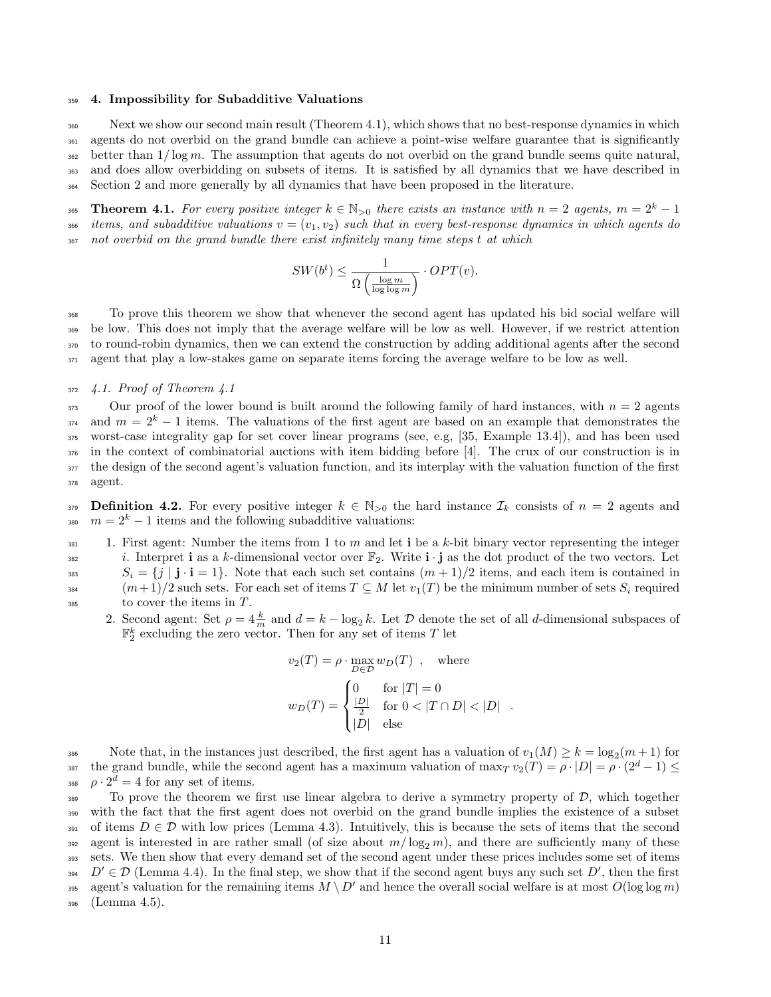#### <sup>359</sup> 4. Impossibility for Subadditive Valuations

 Next we show our second main result (Theorem 4.1), which shows that no best-response dynamics in which agents do not overbid on the grand bundle can achieve a point-wise welfare guarantee that is significantly <sup>362</sup> better than  $1/\log m$ . The assumption that agents do not overbid on the grand bundle seems quite natural, and does allow overbidding on subsets of items. It is satisfied by all dynamics that we have described in Section 2 and more generally by all dynamics that have been proposed in the literature.

Theorem 4.1. For every positive integer  $k \in \mathbb{N}_{>0}$  there exists an instance with  $n = 2$  agents,  $m = 2^k - 1$ 366 items, and subadditive valuations  $v = (v_1, v_2)$  such that in every best-response dynamics in which agents do <sup>367</sup> not overbid on the grand bundle there exist infinitely many time steps t at which

$$
SW(b^t) \le \frac{1}{\Omega\left(\frac{\log m}{\log\log m}\right)} \cdot OPT(v).
$$

 To prove this theorem we show that whenever the second agent has updated his bid social welfare will be low. This does not imply that the average welfare will be low as well. However, if we restrict attention to round-robin dynamics, then we can extend the construction by adding additional agents after the second agent that play a low-stakes game on separate items forcing the average welfare to be low as well.

## $372 \quad 4.1.$  Proof of Theorem  $4.1$

 Our proof of the lower bound is built around the following family of hard instances, with  $n = 2$  agents  $a_{374}$  and  $m = 2<sup>k</sup> - 1$  items. The valuations of the first agent are based on an example that demonstrates the worst-case integrality gap for set cover linear programs (see, e.g, [35, Example 13.4]), and has been used in the context of combinatorial auctions with item bidding before [4]. The crux of our construction is in the design of the second agent's valuation function, and its interplay with the valuation function of the first <sup>378</sup> agent.

379 **Definition 4.2.** For every positive integer  $k \in \mathbb{N}_{>0}$  the hard instance  $\mathcal{I}_k$  consists of  $n = 2$  agents and  $m = 2<sup>k</sup> - 1$  items and the following subadditive valuations:

 $\frac{381}{100}$  1. First agent: Number the items from 1 to m and let i be a k-bit binary vector representing the integer <sup>382</sup> i. Interpret **i** as a k-dimensional vector over  $\mathbb{F}_2$ . Write **i** · **j** as the dot product of the two vectors. Let <sup>383</sup>  $S_i = \{j \mid \mathbf{j} \cdot \mathbf{i} = 1\}$ . Note that each such set contains  $(m+1)/2$  items, and each item is contained in 384  $(m+1)/2$  such sets. For each set of items  $T \subseteq M$  let  $v_1(T)$  be the minimum number of sets  $S_i$  required  $\frac{385}{100}$  to cover the items in T.

2. Second agent: Set  $\rho = 4 \frac{k}{m}$  and  $d = k - \log_2 k$ . Let  $\mathcal D$  denote the set of all d-dimensional subspaces of  $\mathbb{F}_2^k$  excluding the zero vector. Then for any set of items T let

$$
v_2(T) = \rho \cdot \max_{D \in \mathcal{D}} w_D(T) , \text{ where}
$$

$$
w_D(T) = \begin{cases} 0 & \text{for } |T| = 0\\ \frac{|D|}{2} & \text{for } 0 < |T \cap D| < |D|\\ |D| & \text{else} \end{cases} .
$$

386 Note that, in the instances just described, the first agent has a valuation of  $v_1(M) \geq k = \log_2(m+1)$  for the grand bundle, while the second agent has a maximum valuation of  $\max_T v_2(T) = \rho \cdot |D| = \rho \cdot (2^d - 1) \le$ 388  $\rho \cdot 2^d = 4$  for any set of items.

389 To prove the theorem we first use linear algebra to derive a symmetry property of  $\mathcal{D}$ , which together <sup>390</sup> with the fact that the first agent does not overbid on the grand bundle implies the existence of a subset 391 of items  $D \in \mathcal{D}$  with low prices (Lemma 4.3). Intuitively, this is because the sets of items that the second 392 agent is interested in are rather small (of size about  $m/\log_2 m$ ), and there are sufficiently many of these <sup>393</sup> sets. We then show that every demand set of the second agent under these prices includes some set of items 394  $D' \in \mathcal{D}$  (Lemma 4.4). In the final step, we show that if the second agent buys any such set  $D'$ , then the first agent's valuation for the remaining items  $M \setminus D'$  and hence the overall social welfare is at most  $O(\log \log m)$ <sup>396</sup> (Lemma 4.5).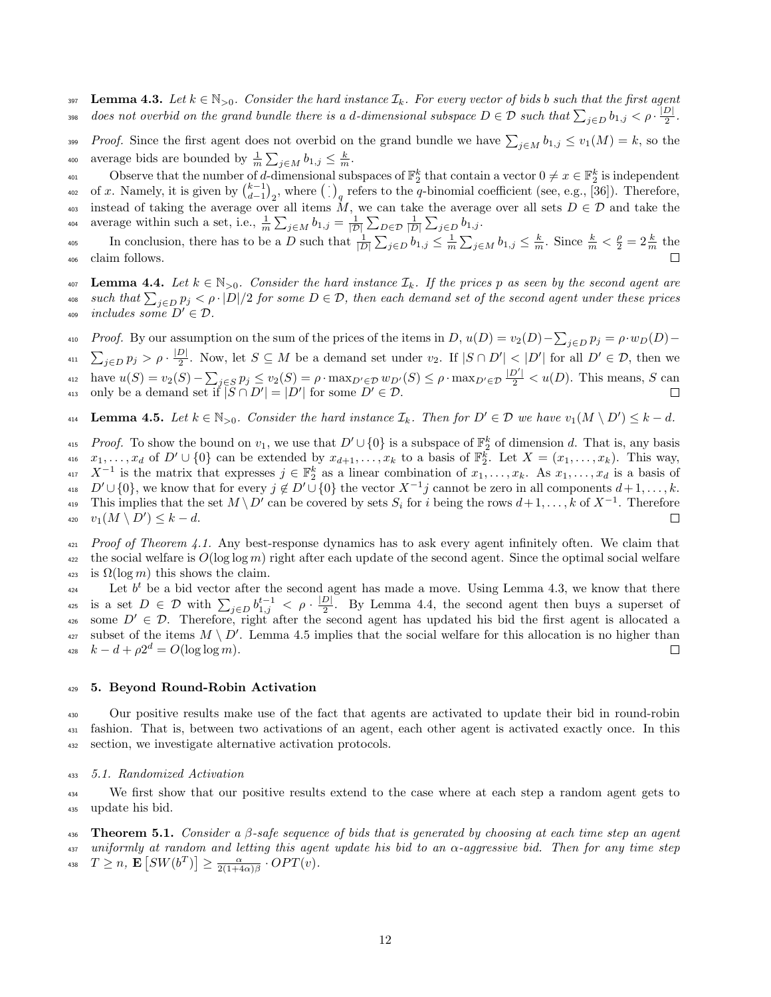397 Lemma 4.3. Let  $k \in \mathbb{N}_{>0}$ . Consider the hard instance  $\mathcal{I}_k$ . For every vector of bids b such that the first agent does not overbid on the grand bundle there is a d-dimensional subspace  $D \in \mathcal{D}$  such that  $\sum_{j\in D}b_{1,j} < \rho \cdot \frac{|D|}{2}$ 398 does not overbid on the grand bundle there is a d-dimensional subspace  $D \in \mathcal{D}$  such that  $\sum_{j\in D}b_{1,j} < \rho\cdot\frac{|D|}{2}$ .

Proof. Since the first agent does not overbid on the grand bundle we have  $\sum_{j\in M} b_{1,j} \le v_1(M) = k$ , so the <sup>400</sup> average bids are bounded by  $\frac{1}{m} \sum_{j \in M} b_{1,j} \leq \frac{k}{m}$ .

Observe that the number of d-dimensional subspaces of  $\mathbb{F}_2^k$  that contain a vector  $0 \neq x \in \mathbb{F}_2^k$  is independent <sup>402</sup> of x. Namely, it is given by  $\binom{k-1}{d-1}_2$ , where  $\left(\cdot\right)_q$  refers to the q-binomial coefficient (see, e.g., [36]). Therefore, 403 instead of taking the average over all items M, we can take the average over all sets  $D \in \mathcal{D}$  and take the average within such a set, i.e.,  $\frac{1}{m} \sum_{j \in M} b_{1,j} = \frac{1}{|\mathcal{D}|} \sum_{D \in \mathcal{D}} \frac{1}{|D|} \sum_{j \in D} b_{1,j}$ .

In conclusion, there has to be a D such that  $\frac{1}{|D|}\sum_{j\in D}b_{1,j} \leq \frac{1}{m}\sum_{j\in M}b_{1,j} \leq \frac{k}{m}$ . Since  $\frac{k}{m} < \frac{\rho}{2} = 2\frac{k}{m}$  the <sup>406</sup> claim follows.

 $407$  Lemma 4.4. Let  $k \in \mathbb{N}_{>0}$ . Consider the hard instance  $\mathcal{I}_k$ . If the prices p as seen by the second agent are <sup>408</sup> such that  $\sum_{j\in D} p_j < \rho \cdot |D|/2$  for some  $D \in \mathcal{D}$ , then each demand set of the second agent under these prices 409 includes some  $D' \in \mathcal{D}$ .

<sup>410</sup> Proof. By our assumption on the sum of the prices of the items in  $D$ ,  $u(D) = v_2(D) - \sum_{j \in D} p_j = \rho \cdot w_D(D) - \rho$  $\sum_{j\in D} p_j > \rho \cdot \frac{|D|}{2}$ <sup>411</sup>  $\sum_{j\in D} p_j > \rho \cdot \frac{|D|}{2}$ . Now, let  $S \subseteq M$  be a demand set under  $v_2$ . If  $|S \cap D'| < |D'|$  for all  $D' \in \mathcal{D}$ , then we  $_{412}$  have  $u(S) = v_2(S) - \sum_{j \in S} p_j \le v_2(S) = \rho \cdot \max_{D' \in \mathcal{D}} w_{D'}(S) \le \rho \cdot \max_{D' \in \mathcal{D}} \frac{|D'|}{2} < u(D)$ . This means, S can 413 only be a demand set if  $|\widetilde{S} \cap D'| = |D'|$  for some  $D' \in \mathcal{D}$ .

414 **Lemma 4.5.** Let  $k \in \mathbb{N}_{>0}$ . Consider the hard instance  $\mathcal{I}_k$ . Then for  $D' \in \mathcal{D}$  we have  $v_1(M \setminus D') \leq k - d$ .

<sup>415</sup> Proof. To show the bound on  $v_1$ , we use that  $D' \cup \{0\}$  is a subspace of  $\mathbb{F}_2^k$  of dimension d. That is, any basis 416  $x_1, \ldots, x_d$  of  $D' \cup \{0\}$  can be extended by  $x_{d+1}, \ldots, x_k$  to a basis of  $\mathbb{F}_2^k$ . Let  $X = (x_1, \ldots, x_k)$ . This way,  $X^{-1}$  is the matrix that expresses  $j \in \mathbb{F}_2^k$  as a linear combination of  $x_1, \ldots, x_k$ . As  $x_1, \ldots, x_d$  is a basis of <sup>418</sup>  $D' \cup \{0\}$ , we know that for every  $j \notin D' \cup \{0\}$  the vector  $X^{-1}j$  cannot be zero in all components  $d+1, \ldots, k$ . <sup>419</sup> This implies that the set  $M \setminus D'$  can be covered by sets  $S_i$  for i being the rows  $d+1,\ldots,k$  of  $X^{-1}$ . Therefore 420  $v_1(M \setminus D') \leq k - d$ . П

 $421$  Proof of Theorem 4.1. Any best-response dynamics has to ask every agent infinitely often. We claim that <sup>422</sup> the social welfare is  $O(\log \log m)$  right after each update of the second agent. Since the optimal social welfare 423 is  $\Omega(\log m)$  this shows the claim.

Let  $b^t$  be a bid vector after the second agent has made a move. Using Lemma 4.3, we know that there is a set  $D \in \mathcal{D}$  with  $\sum_{j \in D} b_{1,j}^{t-1} < \rho \cdot \frac{|D|}{2}$ <sup>425</sup> is a set  $D \in \mathcal{D}$  with  $\sum_{j\in D} b_{1,j}^{t-1} < \rho \cdot \frac{|D|}{2}$ . By Lemma 4.4, the second agent then buys a superset of 426 some  $D' \in \mathcal{D}$ . Therefore, right after the second agent has updated his bid the first agent is allocated a <sup>427</sup> subset of the items  $M \setminus D'$ . Lemma 4.5 implies that the social welfare for this allocation is no higher than <sup>428</sup>  $k - d + \rho 2^d = O(\log \log m).$  $\Box$ 

#### <sup>429</sup> 5. Beyond Round-Robin Activation

<sup>430</sup> Our positive results make use of the fact that agents are activated to update their bid in round-robin <sup>431</sup> fashion. That is, between two activations of an agent, each other agent is activated exactly once. In this <sup>432</sup> section, we investigate alternative activation protocols.

## <sup>433</sup> 5.1. Randomized Activation

<sup>434</sup> We first show that our positive results extend to the case where at each step a random agent gets to <sup>435</sup> update his bid.

436 Theorem 5.1. Consider a  $\beta$ -safe sequence of bids that is generated by choosing at each time step an agent  $437$  uniformly at random and letting this agent update his bid to an  $\alpha$ -aggressive bid. Then for any time step <sup>438</sup>  $T \geq n$ ,  $\mathbf{E}\left[SW(b^T)\right] \geq \frac{\alpha}{2(1+4\alpha)\beta} \cdot OPT(v)$ .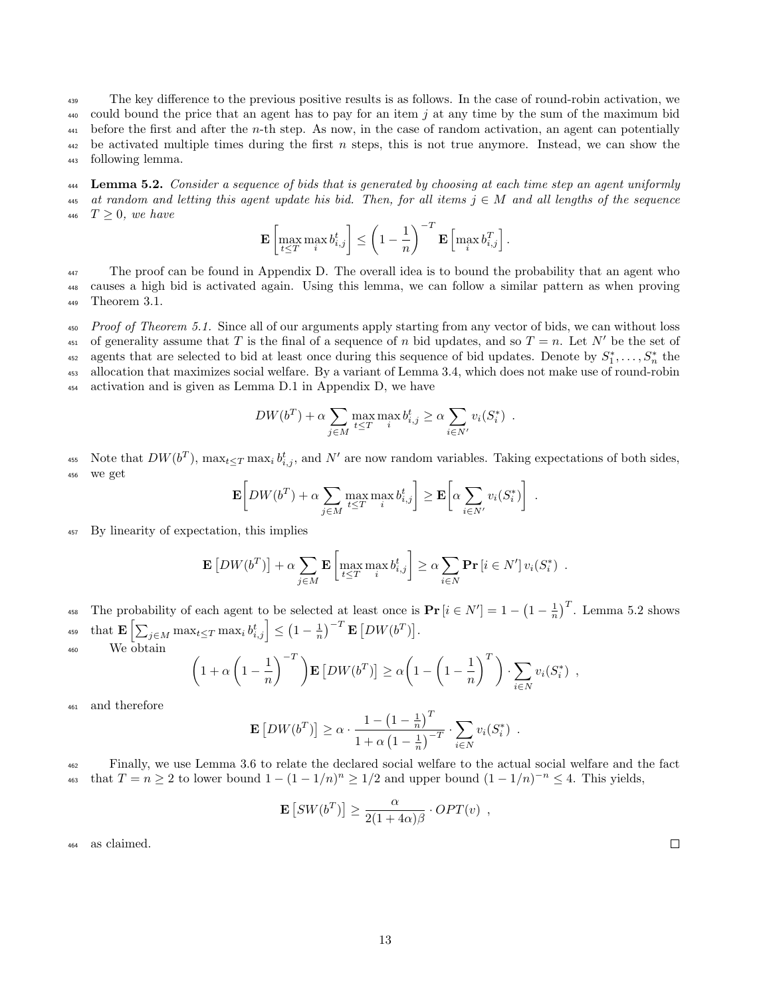<sup>439</sup> The key difference to the previous positive results is as follows. In the case of round-robin activation, we 440 could bound the price that an agent has to pay for an item j at any time by the sum of the maximum bid  $_{441}$  before the first and after the *n*-th step. As now, in the case of random activation, an agent can potentially  $442$  be activated multiple times during the first n steps, this is not true anymore. Instead, we can show the <sup>443</sup> following lemma.

**444** Lemma 5.2. Consider a sequence of bids that is generated by choosing at each time step an agent uniformly 445 at random and letting this agent update his bid. Then, for all items  $j \in M$  and all lengths of the sequence 446  $T \geq 0$ , we have

$$
\mathbf{E}\left[\max_{t\leq T}\max_i b_{i,j}^t\right]\leq \left(1-\frac{1}{n}\right)^{-T}\mathbf{E}\left[\max_i b_{i,j}^T\right].
$$

<sup>447</sup> The proof can be found in Appendix D. The overall idea is to bound the probability that an agent who <sup>448</sup> causes a high bid is activated again. Using this lemma, we can follow a similar pattern as when proving <sup>449</sup> Theorem 3.1.

 $Proof of Theorem 5.1. Since all of our arguments apply starting from any vector of bids, we can without loss.$ 451 of generality assume that T is the final of a sequence of n bid updates, and so  $T = n$ . Let N' be the set of agents that are selected to bid at least once during this sequence of bid updates. Denote by  $S_1^*,\ldots,S_n^*$  the <sup>453</sup> allocation that maximizes social welfare. By a variant of Lemma 3.4, which does not make use of round-robin <sup>454</sup> activation and is given as Lemma D.1 in Appendix D, we have

$$
DW(b^T) + \alpha \sum_{j \in M} \max_{t \leq T} \max_i b^t_{i,j} \geq \alpha \sum_{i \in N'} v_i(S^*_i) .
$$

455 Note that  $DW(b^T)$ ,  $\max_{t \leq T} \max_i b^t_{i,j}$ , and N' are now random variables. Taking expectations of both sides, <sup>456</sup> we get

$$
\mathbf{E}\bigg[DW(b^T) + \alpha \sum_{j \in M} \max_{t \leq T} \max_i b^t_{i,j}\bigg] \geq \mathbf{E}\bigg[\alpha \sum_{i \in N'} v_i(S^*_i)\bigg] .
$$

<sup>457</sup> By linearity of expectation, this implies

$$
\mathbf{E}\left[DW(b^T)\right] + \alpha \sum_{j \in M} \mathbf{E}\left[\max_{t \leq T} \max_i b^t_{i,j}\right] \geq \alpha \sum_{i \in N} \mathbf{Pr}\left[i \in N'\right] v_i(S^*_i) .
$$

<sup>458</sup> The probability of each agent to be selected at least once is  $\Pr[i \in N'] = 1 - \left(1 - \frac{1}{n}\right)^T$ . Lemma 5.2 shows  $\text{that } \mathbf{E}\left[\sum_{j\in M}\max_{t\leq T}\max_i b_{i,j}^t\right]\leq \left(1-\frac{1}{n}\right)^{-T}\mathbf{E}\left[DW(b^T)\right].$ <sup>460</sup> We obtain

$$
\left(1+\alpha\left(1-\frac{1}{n}\right)^{-T}\right)\mathbf{E}\left[DW(b^T)\right] \geq \alpha\left(1-\left(1-\frac{1}{n}\right)^T\right)\cdot \sum_{i\in N} v_i(S_i^*)
$$

<sup>461</sup> and therefore

$$
\mathbf{E}\left[DW(b^T)\right] \geq \alpha \cdot \frac{1 - \left(1 - \frac{1}{n}\right)^T}{1 + \alpha \left(1 - \frac{1}{n}\right)^{-T}} \cdot \sum_{i \in N} v_i(S_i^*)
$$

<sup>462</sup> Finally, we use Lemma 3.6 to relate the declared social welfare to the actual social welfare and the fact <sup>463</sup> that  $T = n \geq 2$  to lower bound  $1 - (1 - 1/n)^n \geq 1/2$  and upper bound  $(1 - 1/n)^{-n} \leq 4$ . This yields,

$$
\mathbf{E}\left[SW(b^T)\right] \ge \frac{\alpha}{2(1+4\alpha)\beta} \cdot OPT(v) ,
$$

<sup>464</sup> as claimed.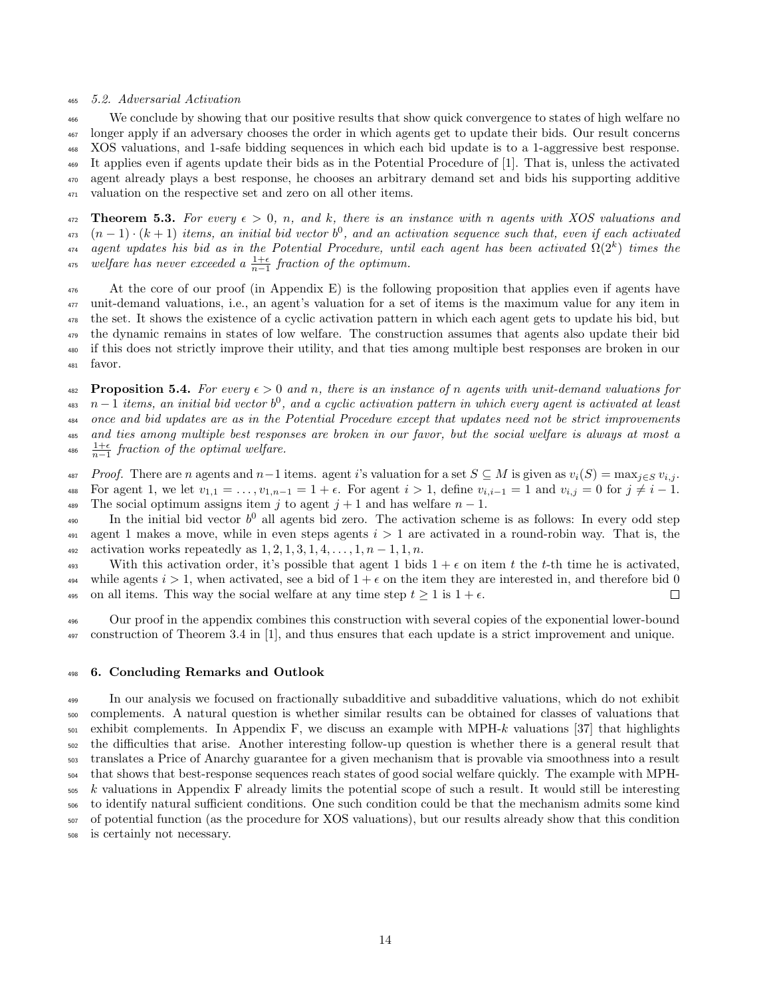#### <sup>465</sup> 5.2. Adversarial Activation

 We conclude by showing that our positive results that show quick convergence to states of high welfare no longer apply if an adversary chooses the order in which agents get to update their bids. Our result concerns XOS valuations, and 1-safe bidding sequences in which each bid update is to a 1-aggressive best response. It applies even if agents update their bids as in the Potential Procedure of [1]. That is, unless the activated agent already plays a best response, he chooses an arbitrary demand set and bids his supporting additive valuation on the respective set and zero on all other items.

472 **Theorem 5.3.** For every  $\epsilon > 0$ , n, and k, there is an instance with n agents with XOS valuations and  $(n-1) \cdot (k+1)$  items, an initial bid vector  $b^0$ , and an activation sequence such that, even if each activated <sup>474</sup> agent updates his bid as in the Potential Procedure, until each agent has been activated  $\Omega(2^k)$  times the <sup>475</sup> welfare has never exceeded a  $\frac{1+\epsilon}{n-1}$  fraction of the optimum.

 At the core of our proof (in Appendix E) is the following proposition that applies even if agents have unit-demand valuations, i.e., an agent's valuation for a set of items is the maximum value for any item in the set. It shows the existence of a cyclic activation pattern in which each agent gets to update his bid, but the dynamic remains in states of low welfare. The construction assumes that agents also update their bid if this does not strictly improve their utility, and that ties among multiple best responses are broken in our <sup>481</sup> favor.

**482** Proposition 5.4. For every  $\epsilon > 0$  and n, there is an instance of n agents with unit-demand valuations for  $n-1$  items, an initial bid vector  $b^0$ , and a cyclic activation pattern in which every agent is activated at least <sup>484</sup> once and bid updates are as in the Potential Procedure except that updates need not be strict improvements <sup>485</sup> and ties among multiple best responses are broken in our favor, but the social welfare is always at most a <sup>486</sup>  $\frac{1+\epsilon}{n-1}$  fraction of the optimal welfare.

487 Proof. There are n agents and n-1 items. agent i's valuation for a set  $S \subseteq M$  is given as  $v_i(S) = \max_{i \in S} v_{i,j}$ . 488 For agent 1, we let  $v_{1,1} = \ldots, v_{1,n-1} = 1 + \epsilon$ . For agent  $i > 1$ , define  $v_{i,i-1} = 1$  and  $v_{i,j} = 0$  for  $j \neq i - 1$ . 489 The social optimum assigns item j to agent  $j + 1$  and has welfare  $n - 1$ .

490 In the initial bid vector  $b^0$  all agents bid zero. The activation scheme is as follows: In every odd step 491 agent 1 makes a move, while in even steps agents  $i > 1$  are activated in a round-robin way. That is, the 492 activation works repeatedly as  $1, 2, 1, 3, 1, 4, ..., 1, n - 1, 1, n$ .

493 With this activation order, it's possible that agent 1 bids  $1 + \epsilon$  on item t the t-th time he is activated, 494 while agents  $i > 1$ , when activated, see a bid of  $1 + \epsilon$  on the item they are interested in, and therefore bid 0 495 on all items. This way the social welfare at any time step  $t \geq 1$  is  $1 + \epsilon$ .  $\Box$ 

<sup>496</sup> Our proof in the appendix combines this construction with several copies of the exponential lower-bound 497 construction of Theorem 3.4 in [1], and thus ensures that each update is a strict improvement and unique.

#### <sup>498</sup> 6. Concluding Remarks and Outlook

 In our analysis we focused on fractionally subadditive and subadditive valuations, which do not exhibit complements. A natural question is whether similar results can be obtained for classes of valuations that exhibit complements. In Appendix F, we discuss an example with MPH-k valuations [37] that highlights the difficulties that arise. Another interesting follow-up question is whether there is a general result that translates a Price of Anarchy guarantee for a given mechanism that is provable via smoothness into a result that shows that best-response sequences reach states of good social welfare quickly. The example with MPH- $505 \; k$  valuations in Appendix F already limits the potential scope of such a result. It would still be interesting to identify natural sufficient conditions. One such condition could be that the mechanism admits some kind of potential function (as the procedure for XOS valuations), but our results already show that this condition is certainly not necessary.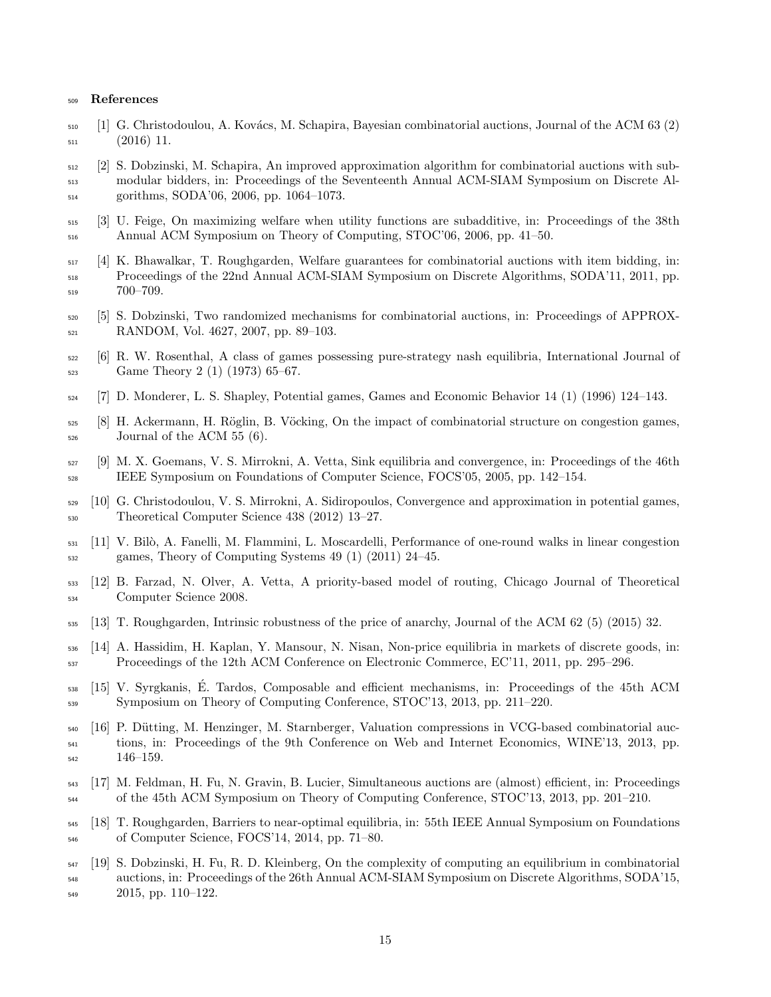#### References

- 510 [1] G. Christodoulou, A. Kovács, M. Schapira, Bayesian combinatorial auctions, Journal of the ACM 63 (2) (2016) 11.
- [2] S. Dobzinski, M. Schapira, An improved approximation algorithm for combinatorial auctions with sub- modular bidders, in: Proceedings of the Seventeenth Annual ACM-SIAM Symposium on Discrete Al-gorithms, SODA'06, 2006, pp. 1064–1073.
- [3] U. Feige, On maximizing welfare when utility functions are subadditive, in: Proceedings of the 38th Annual ACM Symposium on Theory of Computing, STOC'06, 2006, pp. 41–50.
- [4] K. Bhawalkar, T. Roughgarden, Welfare guarantees for combinatorial auctions with item bidding, in: Proceedings of the 22nd Annual ACM-SIAM Symposium on Discrete Algorithms, SODA'11, 2011, pp. 700–709.
- [5] S. Dobzinski, Two randomized mechanisms for combinatorial auctions, in: Proceedings of APPROX-RANDOM, Vol. 4627, 2007, pp. 89–103.
- [6] R. W. Rosenthal, A class of games possessing pure-strategy nash equilibria, International Journal of Game Theory 2 (1) (1973) 65–67.
- [7] D. Monderer, L. S. Shapley, Potential games, Games and Economic Behavior 14 (1) (1996) 124–143.
- $[8]$  H. Ackermann, H. Röglin, B. Vöcking, On the impact of combinatorial structure on congestion games,  $_{526}$  Journal of the ACM 55 (6).
- [9] M. X. Goemans, V. S. Mirrokni, A. Vetta, Sink equilibria and convergence, in: Proceedings of the 46th IEEE Symposium on Foundations of Computer Science, FOCS'05, 2005, pp. 142–154.
- [10] G. Christodoulou, V. S. Mirrokni, A. Sidiropoulos, Convergence and approximation in potential games, Theoretical Computer Science 438 (2012) 13–27.
- [11] V. Bil`o, A. Fanelli, M. Flammini, L. Moscardelli, Performance of one-round walks in linear congestion games, Theory of Computing Systems 49 (1) (2011) 24–45.
- [12] B. Farzad, N. Olver, A. Vetta, A priority-based model of routing, Chicago Journal of Theoretical Computer Science 2008.
- [13] T. Roughgarden, Intrinsic robustness of the price of anarchy, Journal of the ACM 62 (5) (2015) 32.
- [14] A. Hassidim, H. Kaplan, Y. Mansour, N. Nisan, Non-price equilibria in markets of discrete goods, in: Proceedings of the 12th ACM Conference on Electronic Commerce, EC'11, 2011, pp. 295–296.
- $\frac{15}{15}$  V. Syrgkanis, É. Tardos, Composable and efficient mechanisms, in: Proceedings of the 45th ACM Symposium on Theory of Computing Conference, STOC'13, 2013, pp. 211–220.
- [16] P. D¨utting, M. Henzinger, M. Starnberger, Valuation compressions in VCG-based combinatorial auc- tions, in: Proceedings of the 9th Conference on Web and Internet Economics, WINE'13, 2013, pp. 146–159.
- [17] M. Feldman, H. Fu, N. Gravin, B. Lucier, Simultaneous auctions are (almost) efficient, in: Proceedings <sup>544</sup> of the 45th ACM Symposium on Theory of Computing Conference, STOC'13, 2013, pp. 201–210.
- [18] T. Roughgarden, Barriers to near-optimal equilibria, in: 55th IEEE Annual Symposium on Foundations of Computer Science, FOCS'14, 2014, pp. 71–80.
- [19] S. Dobzinski, H. Fu, R. D. Kleinberg, On the complexity of computing an equilibrium in combinatorial auctions, in: Proceedings of the 26th Annual ACM-SIAM Symposium on Discrete Algorithms, SODA'15, 2015, pp. 110–122.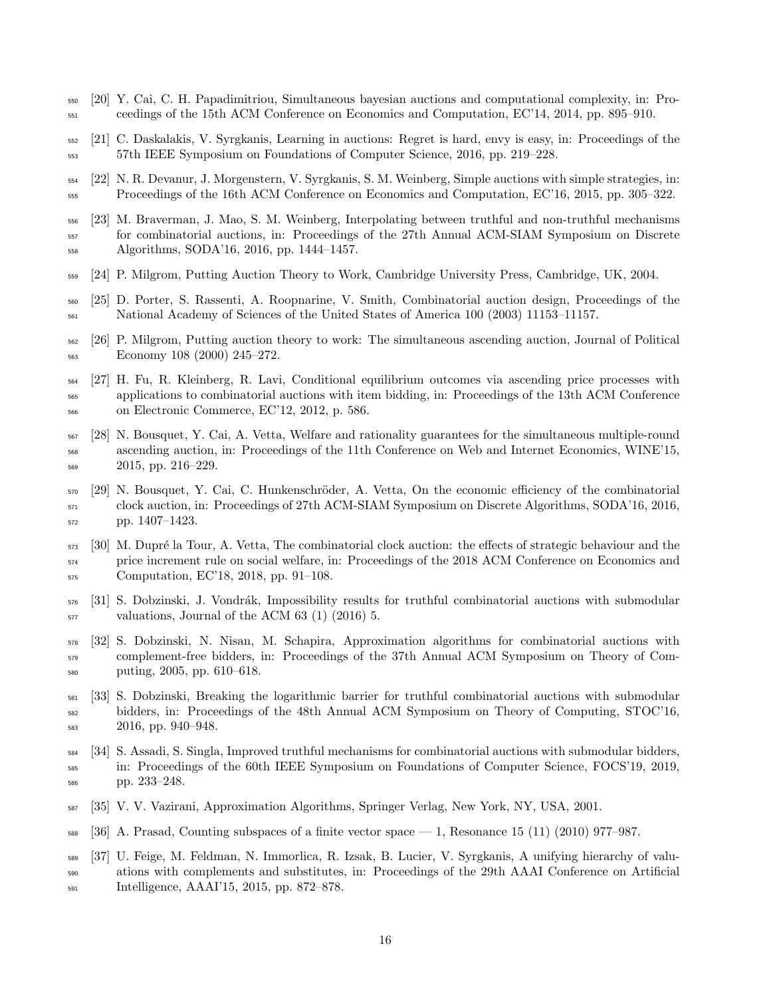- [20] Y. Cai, C. H. Papadimitriou, Simultaneous bayesian auctions and computational complexity, in: Pro-ceedings of the 15th ACM Conference on Economics and Computation, EC'14, 2014, pp. 895–910.
- [21] C. Daskalakis, V. Syrgkanis, Learning in auctions: Regret is hard, envy is easy, in: Proceedings of the 57th IEEE Symposium on Foundations of Computer Science, 2016, pp. 219–228.
- [22] N. R. Devanur, J. Morgenstern, V. Syrgkanis, S. M. Weinberg, Simple auctions with simple strategies, in: Proceedings of the 16th ACM Conference on Economics and Computation, EC'16, 2015, pp. 305–322.
- [23] M. Braverman, J. Mao, S. M. Weinberg, Interpolating between truthful and non-truthful mechanisms for combinatorial auctions, in: Proceedings of the 27th Annual ACM-SIAM Symposium on Discrete Algorithms, SODA'16, 2016, pp. 1444–1457.
- [24] P. Milgrom, Putting Auction Theory to Work, Cambridge University Press, Cambridge, UK, 2004.
- [25] D. Porter, S. Rassenti, A. Roopnarine, V. Smith, Combinatorial auction design, Proceedings of the National Academy of Sciences of the United States of America 100 (2003) 11153–11157.
- [26] P. Milgrom, Putting auction theory to work: The simultaneous ascending auction, Journal of Political Economy 108 (2000) 245–272.
- [27] H. Fu, R. Kleinberg, R. Lavi, Conditional equilibrium outcomes via ascending price processes with applications to combinatorial auctions with item bidding, in: Proceedings of the 13th ACM Conference on Electronic Commerce, EC'12, 2012, p. 586.
- [28] N. Bousquet, Y. Cai, A. Vetta, Welfare and rationality guarantees for the simultaneous multiple-round ascending auction, in: Proceedings of the 11th Conference on Web and Internet Economics, WINE'15, 2015, pp. 216–229.
- 570 [29] N. Bousquet, Y. Cai, C. Hunkenschröder, A. Vetta, On the economic efficiency of the combinatorial clock auction, in: Proceedings of 27th ACM-SIAM Symposium on Discrete Algorithms, SODA'16, 2016, pp. 1407–1423.
- 573 [30] M. Dupré la Tour, A. Vetta, The combinatorial clock auction: the effects of strategic behaviour and the price increment rule on social welfare, in: Proceedings of the 2018 ACM Conference on Economics and Computation, EC'18, 2018, pp. 91–108.
- [31] S. Dobzinski, J. Vondr´ak, Impossibility results for truthful combinatorial auctions with submodular valuations, Journal of the ACM 63 (1) (2016) 5.
- [32] S. Dobzinski, N. Nisan, M. Schapira, Approximation algorithms for combinatorial auctions with complement-free bidders, in: Proceedings of the 37th Annual ACM Symposium on Theory of Com-puting, 2005, pp. 610–618.
- [33] S. Dobzinski, Breaking the logarithmic barrier for truthful combinatorial auctions with submodular bidders, in: Proceedings of the 48th Annual ACM Symposium on Theory of Computing, STOC'16, 2016, pp. 940–948.
- [34] S. Assadi, S. Singla, Improved truthful mechanisms for combinatorial auctions with submodular bidders, in: Proceedings of the 60th IEEE Symposium on Foundations of Computer Science, FOCS'19, 2019, pp. 233–248.
- [35] V. V. Vazirani, Approximation Algorithms, Springer Verlag, New York, NY, USA, 2001.
- [36] A. Prasad, Counting subspaces of a finite vector space 1, Resonance 15 (11) (2010) 977–987.
- [37] U. Feige, M. Feldman, N. Immorlica, R. Izsak, B. Lucier, V. Syrgkanis, A unifying hierarchy of valu- ations with complements and substitutes, in: Proceedings of the 29th AAAI Conference on Artificial Intelligence, AAAI'15, 2015, pp. 872–878.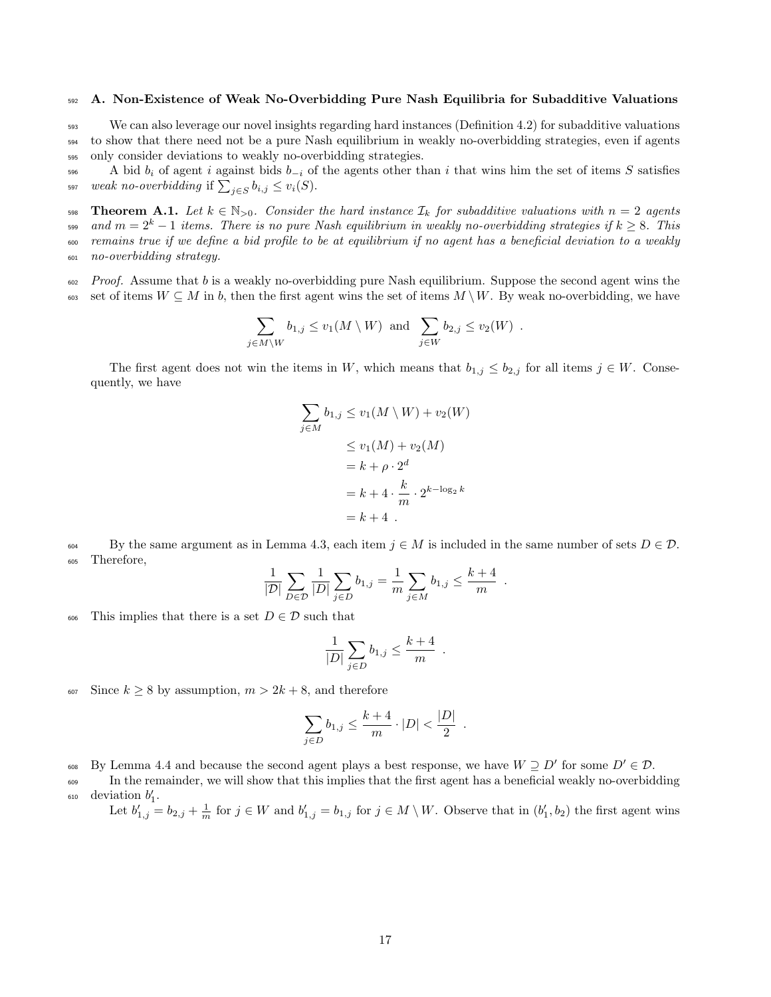## <sup>592</sup> A. Non-Existence of Weak No-Overbidding Pure Nash Equilibria for Subadditive Valuations

<sup>593</sup> We can also leverage our novel insights regarding hard instances (Definition 4.2) for subadditive valuations <sup>594</sup> to show that there need not be a pure Nash equilibrium in weakly no-overbidding strategies, even if agents <sup>595</sup> only consider deviations to weakly no-overbidding strategies.

A bid  $b_i$  of agent i against bids  $b_{-i}$  of the agents other than i that wins him the set of items S satisfies <sup>597</sup> weak no-overbidding if  $\sum_{j \in S} b_{i,j} \le v_i(S)$ .

598 Theorem A.1. Let  $k \in \mathbb{N}_{>0}$ . Consider the hard instance  $\mathcal{I}_k$  for subadditive valuations with  $n = 2$  agents oss and  $m=2^k-1$  items. There is no pure Nash equilibrium in weakly no-overbidding strategies if  $k\geq 8$ . This <sup>600</sup> remains true if we define a bid profile to be at equilibrium if no agent has a beneficial deviation to a weakly <sup>601</sup> no-overbidding strategy.

 $\epsilon_{02}$  Proof. Assume that b is a weakly no-overbidding pure Nash equilibrium. Suppose the second agent wins the 603 set of items  $W \subseteq M$  in b, then the first agent wins the set of items  $M \setminus W$ . By weak no-overbidding, we have

$$
\sum_{j \in M \setminus W} b_{1,j} \le v_1(M \setminus W) \text{ and } \sum_{j \in W} b_{2,j} \le v_2(W) .
$$

The first agent does not win the items in W, which means that  $b_{1,j} \leq b_{2,j}$  for all items  $j \in W$ . Consequently, we have

$$
\sum_{j \in M} b_{1,j} \le v_1(M \setminus W) + v_2(W)
$$
  
\n
$$
\le v_1(M) + v_2(M)
$$
  
\n
$$
= k + \rho \cdot 2^d
$$
  
\n
$$
= k + 4 \cdot \frac{k}{m} \cdot 2^{k - \log_2 k}
$$
  
\n
$$
= k + 4.
$$

604 By the same argument as in Lemma 4.3, each item  $j \in M$  is included in the same number of sets  $D \in \mathcal{D}$ . <sup>605</sup> Therefore,

$$
\frac{1}{|D|} \sum_{D \in \mathcal{D}} \frac{1}{|D|} \sum_{j \in D} b_{1,j} = \frac{1}{m} \sum_{j \in M} b_{1,j} \le \frac{k+4}{m} .
$$

This implies that there is a set  $D \in \mathcal{D}$  such that

$$
\frac{1}{|D|}\sum_{j\in D}b_{1,j}\leq \frac{k+4}{m}\enspace.
$$

607 Since  $k \geq 8$  by assumption,  $m > 2k + 8$ , and therefore

$$
\sum_{j \in D} b_{1,j} \le \frac{k+4}{m} \cdot |D| < \frac{|D|}{2} .
$$

608 By Lemma 4.4 and because the second agent plays a best response, we have  $W \supseteq D'$  for some  $D' \in \mathcal{D}$ .

<sup>609</sup> In the remainder, we will show that this implies that the first agent has a beneficial weakly no-overbidding  $\delta$ <sub>10</sub> deviation  $b'_1$ .

Let  $b'_{1,j} = b_{2,j} + \frac{1}{m}$  for  $j \in W$  and  $b'_{1,j} = b_{1,j}$  for  $j \in M \setminus W$ . Observe that in  $(b'_1, b_2)$  the first agent wins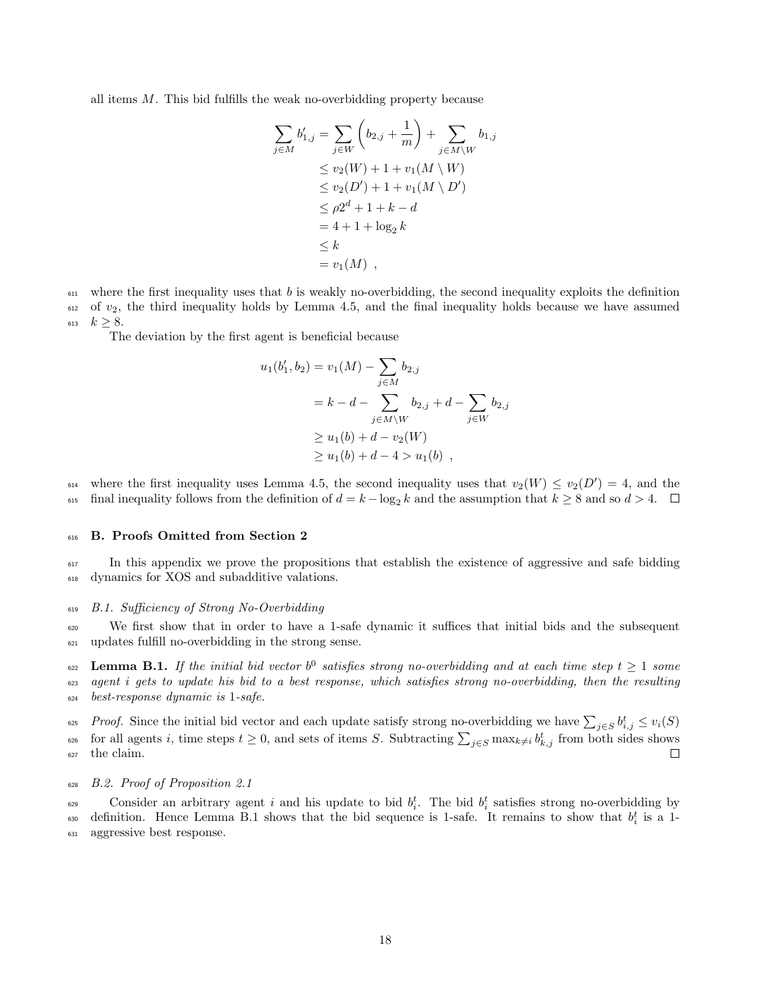all items  $M$ . This bid fulfills the weak no-overbidding property because

$$
\sum_{j \in M} b'_{1,j} = \sum_{j \in W} \left( b_{2,j} + \frac{1}{m} \right) + \sum_{j \in M \setminus W} b_{1,j} \n\le v_2(W) + 1 + v_1(M \setminus W) \n\le v_2(D') + 1 + v_1(M \setminus D') \n\le \rho 2^d + 1 + k - d \n= 4 + 1 + \log_2 k \n\le k \n= v_1(M) ,
$$

 $611$  where the first inequality uses that b is weakly no-overbidding, the second inequality exploits the definition  $612$  of  $v_2$ , the third inequality holds by Lemma 4.5, and the final inequality holds because we have assumed 613  $k > 8$ .

The deviation by the first agent is beneficial because

$$
u_1(b'_1, b_2) = v_1(M) - \sum_{j \in M} b_{2,j}
$$
  
=  $k - d - \sum_{j \in M \setminus W} b_{2,j} + d - \sum_{j \in W} b_{2,j}$   
 $\ge u_1(b) + d - v_2(W)$   
 $\ge u_1(b) + d - 4 > u_1(b)$ ,

<sup>614</sup> where the first inequality uses Lemma 4.5, the second inequality uses that  $v_2(W) \le v_2(D') = 4$ , and the 615 final inequality follows from the definition of  $d = k - \log_2 k$  and the assumption that  $k \ge 8$  and so  $d > 4$ .

#### <sup>616</sup> B. Proofs Omitted from Section 2

<sup>617</sup> In this appendix we prove the propositions that establish the existence of aggressive and safe bidding <sup>618</sup> dynamics for XOS and subadditive valations.

## <sup>619</sup> B.1. Sufficiency of Strong No-Overbidding

<sup>620</sup> We first show that in order to have a 1-safe dynamic it suffices that initial bids and the subsequent <sup>621</sup> updates fulfill no-overbidding in the strong sense.

 $\epsilon_{622}$  Lemma B.1. If the initial bid vector  $b^0$  satisfies strong no-overbidding and at each time step  $t \geq 1$  some  $\epsilon_{23}$  agent i gets to update his bid to a best response, which satisfies strong no-overbidding, then the resulting <sup>624</sup> best-response dynamic is 1-safe.

<sup>625</sup> *Proof.* Since the initial bid vector and each update satisfy strong no-overbidding we have  $\sum_{j \in S} b_{i,j}^t \leq v_i(S)$ <sup>626</sup> for all agents i, time steps  $t \geq 0$ , and sets of items S. Subtracting  $\sum_{j \in S} \max_{k \neq i} b_{k,j}^t$  from both sides shows <sup>627</sup> the claim.

#### <sup>628</sup> B.2. Proof of Proposition 2.1

Consider an arbitrary agent i and his update to bid  $b_i^t$ . The bid  $b_i^t$  satisfies strong no-overbidding by 630 definition. Hence Lemma B.1 shows that the bid sequence is 1-safe. It remains to show that  $b_i^t$  is a 1-<sup>631</sup> aggressive best response.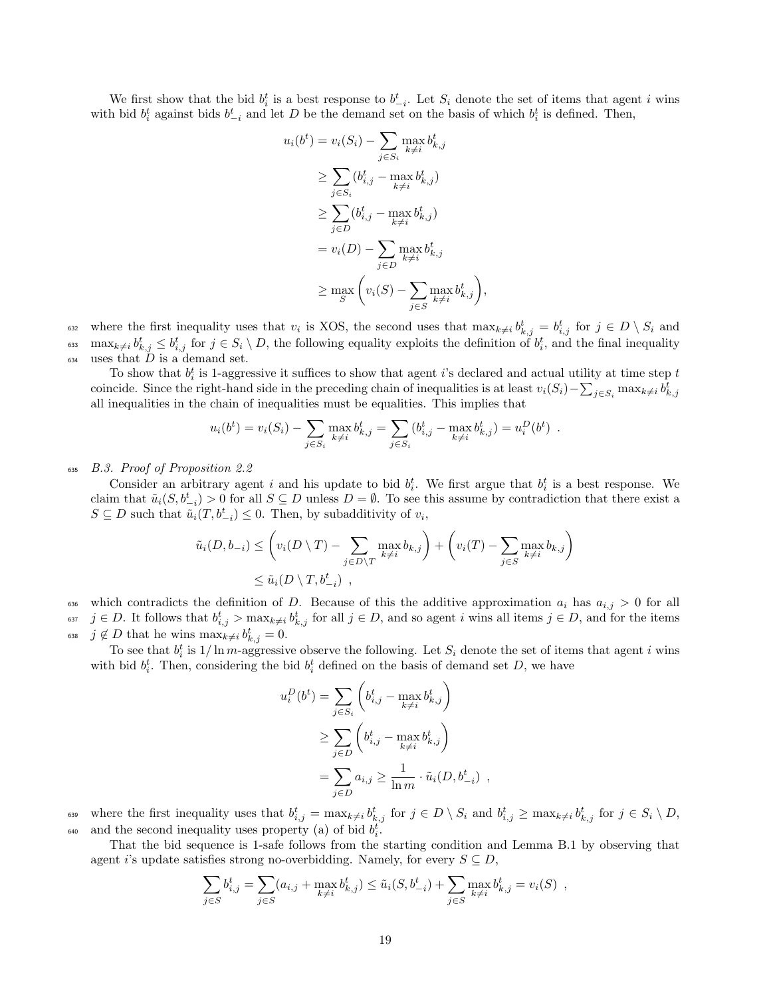We first show that the bid  $b_i^t$  is a best response to  $b_{-i}^t$ . Let  $S_i$  denote the set of items that agent i wins with bid  $b_i^t$  against bids  $b_{-i}^t$  and let D be the demand set on the basis of which  $b_i^t$  is defined. Then,

 $\iota$ 

$$
u_i(b^t) = v_i(S_i) - \sum_{j \in S_i} \max_{k \neq i} b^t_{k,j}
$$
  
\n
$$
\geq \sum_{j \in S_i} (b^t_{i,j} - \max_{k \neq i} b^t_{k,j})
$$
  
\n
$$
\geq \sum_{j \in D} (b^t_{i,j} - \max_{k \neq i} b^t_{k,j})
$$
  
\n
$$
= v_i(D) - \sum_{j \in D} \max_{k \neq i} b^t_{k,j}
$$
  
\n
$$
\geq \max_{S} \left( v_i(S) - \sum_{j \in S} \max_{k \neq i} b^t_{k,j} \right),
$$

<sup>632</sup> where the first inequality uses that  $v_i$  is XOS, the second uses that  $\max_{k\neq i} b_{k,j}^t = b_{i,j}^t$  for  $j \in D \setminus S_i$  and  $\max_{k\neq i} b_{k,j}^t \leq b_{i,j}^t$  for  $j \in S_i \setminus D$ , the following equality exploits the definition of  $b_i^t$ , and the final inequality  $634$  uses that  $\overline{D}$  is a demand set.

To show that  $b_i^t$  is 1-aggressive it suffices to show that agent i's declared and actual utility at time step t coincide. Since the right-hand side in the preceding chain of inequalities is at least  $v_i(S_i) - \sum_{j \in S_i} \max_{k \neq i} b_{k,j}^t$ all inequalities in the chain of inequalities must be equalities. This implies that

$$
u_i(b^t) = v_i(S_i) - \sum_{j \in S_i} \max_{k \neq i} b^t_{k,j} = \sum_{j \in S_i} (b^t_{i,j} - \max_{k \neq i} b^t_{k,j}) = u_i^D(b^t) .
$$

#### <sup>635</sup> B.3. Proof of Proposition 2.2

Consider an arbitrary agent i and his update to bid  $b_i^t$ . We first argue that  $b_i^t$  is a best response. We claim that  $\tilde{u}_i(S, b^t_{-i}) > 0$  for all  $S \subseteq D$  unless  $D = \emptyset$ . To see this assume by contradiction that there exist a  $S \subseteq D$  such that  $\tilde{u}_i(T, b_{-i}^t) \leq 0$ . Then, by subadditivity of  $v_i$ ,

$$
\tilde{u}_i(D, b_{-i}) \leq \left(v_i(D \setminus T) - \sum_{j \in D \setminus T} \max_{k \neq i} b_{k,j}\right) + \left(v_i(T) - \sum_{j \in S} \max_{k \neq i} b_{k,j}\right)
$$
\n
$$
\leq \tilde{u}_i(D \setminus T, b_{-i}^t) ,
$$

636 which contradicts the definition of D. Because of this the additive approximation  $a_i$  has  $a_{i,j} > 0$  for all <sup>637</sup>  $j \in D$ . It follows that  $b_{i,j}^t > \max_{k \neq i} b_{k,j}^t$  for all  $j \in D$ , and so agent i wins all items  $j \in D$ , and for the items <sup>638</sup> *j* ∉ *D* that he wins  $\max_{k \neq i} b^t_{k,j} = 0$ .

To see that  $b_i^t$  is  $1/\ln m$ -aggressive observe the following. Let  $S_i$  denote the set of items that agent i wins with bid  $b_i^t$ . Then, considering the bid  $b_i^t$  defined on the basis of demand set D, we have

$$
u_i^D(b^t) = \sum_{j \in S_i} \left( b_{i,j}^t - \max_{k \neq i} b_{k,j}^t \right)
$$
  
\n
$$
\geq \sum_{j \in D} \left( b_{i,j}^t - \max_{k \neq i} b_{k,j}^t \right)
$$
  
\n
$$
= \sum_{j \in D} a_{i,j} \geq \frac{1}{\ln m} \cdot \tilde{u}_i(D, b_{-i}^t) ,
$$

<sup>639</sup> where the first inequality uses that  $b_{i,j}^t = \max_{k \neq i} b_{k,j}^t$  for  $j \in D \setminus S_i$  and  $b_{i,j}^t \geq \max_{k \neq i} b_{k,j}^t$  for  $j \in S_i \setminus D$ , <sup>640</sup> and the second inequality uses property (a) of bid  $b_i^t$ .

That the bid sequence is 1-safe follows from the starting condition and Lemma B.1 by observing that agent i's update satisfies strong no-overbidding. Namely, for every  $S \subseteq D$ ,

$$
\sum_{j \in S} b_{i,j}^t = \sum_{j \in S} (a_{i,j} + \max_{k \neq i} b_{k,j}^t) \leq \tilde{u}_i(S, b_{-i}^t) + \sum_{j \in S} \max_{k \neq i} b_{k,j}^t = v_i(S) ,
$$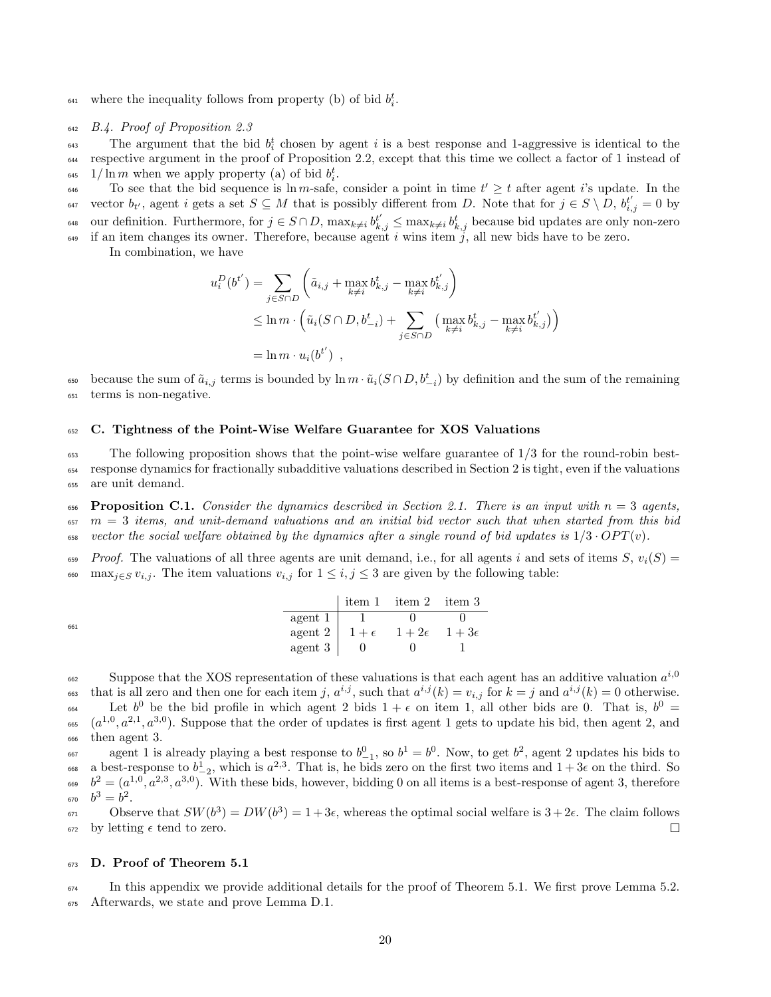<sup>641</sup> where the inequality follows from property (b) of bid  $b_i^t$ .

#### <sup>642</sup> B.4. Proof of Proposition 2.3

 $\epsilon$ <sub>643</sub> The argument that the bid  $b_i^t$  chosen by agent i is a best response and 1-aggressive is identical to the <sup>644</sup> respective argument in the proof of Proposition 2.2, except that this time we collect a factor of 1 instead of <sup>645</sup> 1/ln *m* when we apply property (a) of bid  $b_i^t$ .

 $\epsilon_{646}$  To see that the bid sequence is ln m-safe, consider a point in time  $t' \geq t$  after agent is update. In the <sup>647</sup> vector  $b_{t'}$ , agent i gets a set  $S \subseteq M$  that is possibly different from D. Note that for  $j \in S \setminus D$ ,  $b_{i,j}^{t'} = 0$  by <sup>648</sup> our definition. Furthermore, for  $j \in S \cap D$ ,  $\max_{k \neq i} b_{k,j}^{t'} \leq \max_{k \neq i} b_{k,j}^{t}$  because bid updates are only non-zero  $\frac{649}{16}$  if an item changes its owner. Therefore, because agent i wins item j, all new bids have to be zero.

In combination, we have

$$
u_i^D(b^{t'}) = \sum_{j \in S \cap D} \left( \tilde{a}_{i,j} + \max_{k \neq i} b_{k,j}^t - \max_{k \neq i} b_{k,j}^{t'} \right)
$$
  
 
$$
\leq \ln m \cdot \left( \tilde{u}_i (S \cap D, b_{-i}^t) + \sum_{j \in S \cap D} \left( \max_{k \neq i} b_{k,j}^t - \max_{k \neq i} b_{k,j}^{t'} \right) \right)
$$
  
=  $\ln m \cdot u_i (b^{t'})$ ,

<sub>650</sub> because the sum of  $\tilde{a}_{i,j}$  terms is bounded by  $\ln m \cdot \tilde{u}_i(S \cap D, b_{-i}^t)$  by definition and the sum of the remaining <sup>651</sup> terms is non-negative.

## <sup>652</sup> C. Tightness of the Point-Wise Welfare Guarantee for XOS Valuations

<sup>653</sup> The following proposition shows that the point-wise welfare guarantee of 1/3 for the round-robin best-<sup>654</sup> response dynamics for fractionally subadditive valuations described in Section 2 is tight, even if the valuations <sup>655</sup> are unit demand.

656 Proposition C.1. Consider the dynamics described in Section 2.1. There is an input with  $n = 3$  agents,  $657 \text{ m} = 3$  items, and unit-demand valuations and an initial bid vector such that when started from this bid 658 vector the social welfare obtained by the dynamics after a single round of bid updates is  $1/3 \cdot OPT(v)$ .

 $Fropf$ . The valuations of all three agents are unit demand, i.e., for all agents i and sets of items S,  $v_i(S)$  = 660 max $_{i\in S} v_{i,j}$ . The item valuations  $v_{i,j}$  for  $1 \leq i,j \leq 3$  are given by the following table:

|     |                                                    | tiem 1 item 2 item 3 |  |
|-----|----------------------------------------------------|----------------------|--|
|     | $\text{agent } 1 \mid 1$ 0                         |                      |  |
| 661 | agent 2   $1+\epsilon$ $1+2\epsilon$ $1+3\epsilon$ |                      |  |
|     | agent $3 \mid 0$                                   |                      |  |

Suppose that the XOS representation of these valuations is that each agent has an additive valuation  $a^{i,0}$ 662 <sup>663</sup> that is all zero and then one for each item j,  $a^{i,j}$ , such that  $a^{i,j}(k) = v_{i,j}$  for  $k = j$  and  $a^{i,j}(k) = 0$  otherwise. <sup>664</sup> Let  $b^0$  be the bid profile in which agent 2 bids  $1 + \epsilon$  on item 1, all other bids are 0. That is,  $b^0 =$  $(a^{1,0}, a^{2,1}, a^{3,0})$ . Suppose that the order of updates is first agent 1 gets to update his bid, then agent 2, and

<sup>666</sup> then agent 3.

<sup>667</sup> agent 1 is already playing a best response to  $b_{-1}^0$ , so  $b^1 = b^0$ . Now, to get  $b^2$ , agent 2 updates his bids to <sup>668</sup> a best-response to  $b_{-2}^1$ , which is  $a^{2,3}$ . That is, he bids zero on the first two items and  $1+3\epsilon$  on the third. So  $b^2 = (a^{1,0}, a^{2,3}, a^{3,0})$ . With these bids, however, bidding 0 on all items is a best-response of agent 3, therefore 670  $b^3 = b^2$ .

 $\delta_{671}$  Observe that  $SW(b^3) = DW(b^3) = 1+3\epsilon$ , whereas the optimal social welfare is  $3+2\epsilon$ . The claim follows  $672$  by letting  $\epsilon$  tend to zero.  $\Box$ 

#### <sup>673</sup> D. Proof of Theorem 5.1

 $\frac{674}{674}$  In this appendix we provide additional details for the proof of Theorem 5.1. We first prove Lemma 5.2. <sup>675</sup> Afterwards, we state and prove Lemma D.1.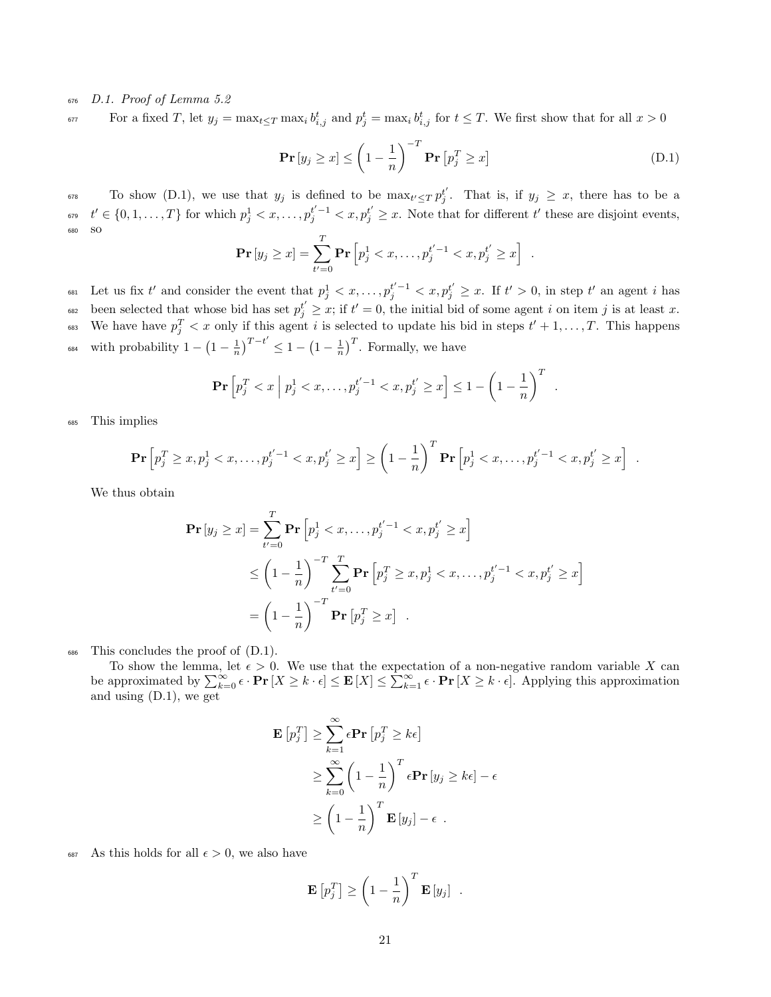## <sup>676</sup> D.1. Proof of Lemma 5.2

For a fixed T, let  $y_j = \max_{t \leq T} \max_i b_{i,j}^t$  and  $p_j^t = \max_i b_{i,j}^t$  for  $t \leq T$ . We first show that for all  $x > 0$ 

$$
\mathbf{Pr}\left[y_j \geq x\right] \leq \left(1 - \frac{1}{n}\right)^{-T} \mathbf{Pr}\left[p_j^T \geq x\right] \tag{D.1}
$$

 $\sigma^{8}$  To show (D.1), we use that  $y_j$  is defined to be  $\max_{t' \le T} p_j^{t'}$ . That is, if  $y_j \ge x$ , there has to be a  $t' \in \{0, 1, \ldots, T\}$  for which  $p_j^1 < x, \ldots, p_j^{t'-1} < x, p_j^{t'} \geq x$ . Note that for different  $t'$  these are disjoint events, <sup>680</sup> so

$$
\Pr[y_j \ge x] = \sum_{t'=0}^{T} \Pr[p_j^1 < x, \dots, p_j^{t'-1} < x, p_j^{t'} \ge x].
$$

<sup>681</sup> Let us fix t' and consider the event that  $p_j^1 < x, \ldots, p_j^{t'-1} < x, p_j^{t'} \ge x$ . If  $t' > 0$ , in step t' an agent i has been selected that whose bid has set  $p_j^{t'} \geq x$ ; if  $t' = 0$ , the initial bid of some agent i on item j is at least x. <sup>683</sup> We have have  $p_j^T < x$  only if this agent i is selected to update his bid in steps  $t' + 1, \ldots, T$ . This happens <sup>684</sup> with probability  $1 - \left(1 - \frac{1}{n}\right)^{T-t'} \leq 1 - \left(1 - \frac{1}{n}\right)^T$ . Formally, we have

$$
\Pr\left[p_j^T < x \middle| p_j^1 < x, \dots, p_j^{t'-1} < x, p_j^{t'} \geq x\right] \leq 1 - \left(1 - \frac{1}{n}\right)^T.
$$

<sup>685</sup> This implies

$$
\Pr\left[p_j^T \ge x, p_j^1 < x, \dots, p_j^{t'-1} < x, p_j^{t'} \ge x\right] \ge \left(1 - \frac{1}{n}\right)^T \Pr\left[p_j^1 < x, \dots, p_j^{t'-1} < x, p_j^{t'} \ge x\right] \; .
$$

We thus obtain

$$
\begin{split} \mathbf{Pr}\left[y_{j} \geq x\right] &= \sum_{t'=0}^{T} \mathbf{Pr}\left[p_{j}^{1} < x, \ldots, p_{j}^{t'-1} < x, p_{j}^{t'} \geq x\right] \\ &\leq \left(1 - \frac{1}{n}\right)^{-T} \sum_{t'=0}^{T} \mathbf{Pr}\left[p_{j}^{T} \geq x, p_{j}^{1} < x, \ldots, p_{j}^{t'-1} < x, p_{j}^{t'} \geq x\right] \\ &= \left(1 - \frac{1}{n}\right)^{-T} \mathbf{Pr}\left[p_{j}^{T} \geq x\right] \end{split}
$$

<sup>686</sup> This concludes the proof of (D.1).

To show the lemma, let  $\epsilon > 0$ . We use that the expectation of a non-negative random variable X can be approximated by  $\sum_{k=0}^{\infty} \epsilon \cdot \mathbf{Pr}[X \ge k \cdot \epsilon] \le \mathbf{E}[X] \le \sum_{k=1}^{\infty} \epsilon \cdot \mathbf{Pr}[X \ge k \cdot \epsilon]$ . Applying this approximation and using (D.1), we get

$$
\mathbf{E}\left[p_j^T\right] \geq \sum_{k=1}^{\infty} \epsilon \mathbf{Pr}\left[p_j^T \geq k\epsilon\right]
$$
  
\n
$$
\geq \sum_{k=0}^{\infty} \left(1 - \frac{1}{n}\right)^T \epsilon \mathbf{Pr}\left[y_j \geq k\epsilon\right] - \epsilon
$$
  
\n
$$
\geq \left(1 - \frac{1}{n}\right)^T \mathbf{E}\left[y_j\right] - \epsilon .
$$

687 As this holds for all  $\epsilon > 0$ , we also have

$$
\mathbf{E}\left[p_j^T\right] \ge \left(1 - \frac{1}{n}\right)^T \mathbf{E}\left[y_j\right] .
$$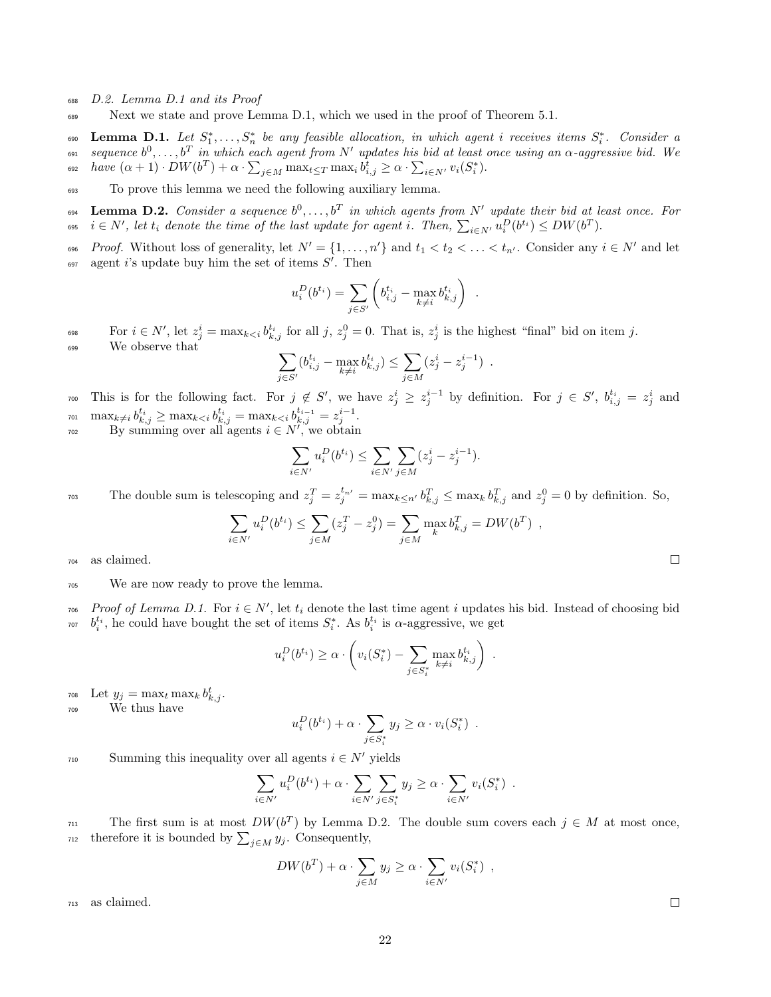- <sup>688</sup> D.2. Lemma D.1 and its Proof
- <sup>689</sup> Next we state and prove Lemma D.1, which we used in the proof of Theorem 5.1.

 $\sum_{i=1}^{\infty}$  **Lemma D.1.** Let  $S_1^*, \ldots, S_n^*$  be any feasible allocation, in which agent i receives items  $S_i^*$ . Consider a  $_{691}$  sequence  $b^0,\ldots,b^T$  in which each agent from  $N'$  updates his bid at least once using an  $\alpha$ -aggressive bid. We <sup>692</sup> have  $(\alpha + 1) \cdot DW(b^T) + \alpha \cdot \sum_{j \in M} \max_{t \leq T} \max_i b^t_{i,j} \geq \alpha \cdot \sum_{i \in N'} v_i(S^*_i)$ .

<sup>693</sup> To prove this lemma we need the following auxiliary lemma.

 $\sum_{k=1}^{\infty}$  Lemma D.2. Consider a sequence  $b^0, \ldots, b^T$  in which agents from N' update their bid at least once. For  $\begin{array}{ll} \epsilon_{0^{65}} \quad i\in N', \: let \: t_i \: \: denote \: \emph{the \: time \: of \: the \: last \: update \: for \: agent \: i. \: \: Then, \: \sum_{i\in N'} u^D_i(b^{t_i}) \leq DW(b^T). \end{array}$ 

 $P_{\text{root}}$ . Without loss of generality, let  $N' = \{1, \ldots, n'\}$  and  $t_1 < t_2 < \ldots < t_{n'}$ . Consider any  $i \in N'$  and let  $\alpha_{97}$  agent i's update buy him the set of items  $S'$ . Then

$$
u_i^D(b^{t_i}) = \sum_{j \in S'} \left( b_{i,j}^{t_i} - \max_{k \neq i} b_{k,j}^{t_i} \right) .
$$

For  $i \in N'$ , let  $z_j^i = \max_{k \leq i} b_{k,j}^{t_i}$  for all  $j, z_j^0 = 0$ . That is,  $z_j^i$  is the highest "final" bid on item j. <sup>699</sup> We observe that

$$
\sum_{j \in S'} (b^{t_i}_{i,j} - \max_{k \neq i} b^{t_i}_{k,j}) \leq \sum_{j \in M} (z^i_j - z^{i-1}_j) \enspace .
$$

<sup>700</sup> This is for the following fact. For  $j \notin S'$ , we have  $z_j^i \geq z_j^{i-1}$  by definition. For  $j \in S'$ ,  $b_{i,j}^{t_i} = z_j^i$  and  $\max_{k\neq i} b_{k,j}^{t_i} \geq \max_{k < i} b_{k,j}^{t_i} = \max_{k < i} b_{k,j}^{t_{i-1}} = z_j^{i-1}.$ 

 $B_y$  summing over all agents  $i \in N^{r}$ , we obtain

$$
\sum_{i \in N'} u_i^D(b^{t_i}) \le \sum_{i \in N'} \sum_{j \in M} (z_j^i - z_j^{i-1}).
$$

The double sum is telescoping and  $z_j^T = z_j^{t_{n'}} = \max_{k \leq n'} b_{k,j}^T \leq \max_k b_{k,j}^T$  and  $z_j^0 = 0$  by definition. So,

$$
\sum_{i \in N'} u_i^D(b^{t_i}) \le \sum_{j \in M} (z_j^T - z_j^0) = \sum_{j \in M} \max_k b_{k,j}^T = DW(b^T) ,
$$

<sup>704</sup> as claimed.

<sup>705</sup> We are now ready to prove the lemma.

 $P_{\text{root}}$   $Proof$  of Lemma D.1. For  $i \in N'$ , let  $t_i$  denote the last time agent i updates his bid. Instead of choosing bid <sup>*t<sub>i</sub>*</sup>, he could have bought the set of items  $S_i^*$ . As  $b_i^{t_i}$  is  $\alpha$ -aggressive, we get

$$
u_i^D(b^{t_i}) \ge \alpha \cdot \left( v_i(S_i^*) - \sum_{j \in S_i^*} \max_{k \neq i} b_{k,j}^{t_i} \right) .
$$

 $\text{Let } y_j = \max_t \max_k b^t_{k,j}.$ 

$$
709 \t\t We thus have
$$

$$
u_i^D(b^{t_i}) + \alpha \cdot \sum_{j \in S_i^*} y_j \ge \alpha \cdot v_i(S_i^*) .
$$

 $S$  summing this inequality over all agents  $i \in N'$  yields

$$
\sum_{i \in N'} u_i^D(b^{t_i}) + \alpha \cdot \sum_{i \in N'} \sum_{j \in S_i^*} y_j \ge \alpha \cdot \sum_{i \in N'} v_i(S_i^*) .
$$

The first sum is at most  $DW(b^T)$  by Lemma D.2. The double sum covers each  $j \in M$  at most once, therefore it is bounded by  $\sum_{i\in M} y_i$ . Consequently,

$$
DW(b^T) + \alpha \cdot \sum_{j \in M} y_j \ge \alpha \cdot \sum_{i \in N'} v_i(S_i^*) ,
$$

<sup>713</sup> as claimed.

 $\Box$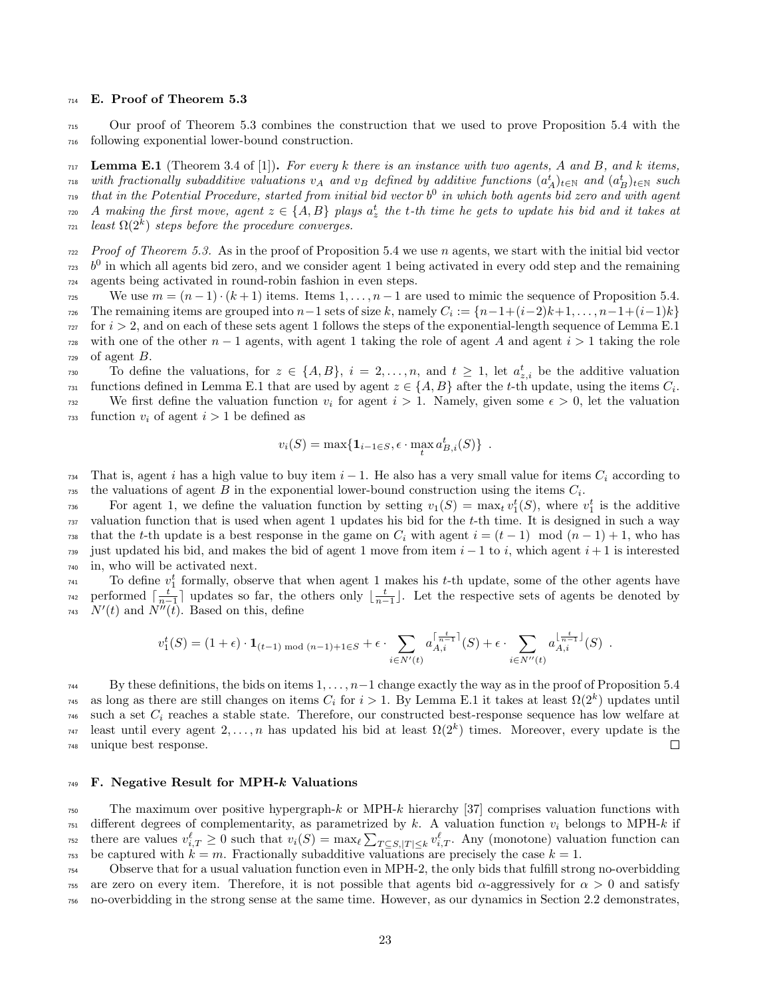#### <sup>714</sup> E. Proof of Theorem 5.3

<sup>715</sup> Our proof of Theorem 5.3 combines the construction that we used to prove Proposition 5.4 with the <sup>716</sup> following exponential lower-bound construction.

 $_{717}$  Lemma E.1 (Theorem 3.4 of [1]). For every k there is an instance with two agents, A and B, and k items,  $\tau_{\rm 18}$  with fractionally subadditive valuations  $v_A$  and  $v_B$  defined by additive functions  $(a_A^t)_{t\in\mathbb N}$  and  $(a_B^t)_{t\in\mathbb N}$  such  $_{719}$  that in the Potential Procedure, started from initial bid vector  $b^0$  in which both agents bid zero and with agent  $_7$ <sub>20</sub> A making the first move, agent  $z \in \{A,B\}$  plays  $a_z^t$  the t-th time he gets to update his bid and it takes at  $l_{\text{Z21}}$  least  $\Omega(2^k)$  steps before the procedure converges.

 $P_{T22}$  Proof of Theorem 5.3. As in the proof of Proposition 5.4 we use n agents, we start with the initial bid vector  $b<sup>0</sup>$  in which all agents bid zero, and we consider agent 1 being activated in every odd step and the remaining <sup>724</sup> agents being activated in round-robin fashion in even steps.

 $\text{We use } m = (n-1) \cdot (k+1) \text{ items.}$  Items  $1, \ldots, n-1$  are used to mimic the sequence of Proposition 5.4.  $T_{726}$  The remaining items are grouped into  $n-1$  sets of size k, namely  $C_i := \{n-1+(i-2)k+1,\ldots,n-1+(i-1)k\}$  $727$  for  $i > 2$ , and on each of these sets agent 1 follows the steps of the exponential-length sequence of Lemma E.1 <sup>728</sup> with one of the other  $n-1$  agents, with agent 1 taking the role of agent A and agent  $i > 1$  taking the role  $729$  of agent  $B$ .

To define the valuations, for  $z \in \{A, B\}$ ,  $i = 2, \ldots, n$ , and  $t \geq 1$ , let  $a_{z,i}^t$  be the additive valuation functions defined in Lemma E.1 that are used by agent  $z \in \{A, B\}$  after the t-th update, using the items  $C_i$ . We first define the valuation function  $v_i$  for agent  $i > 1$ . Namely, given some  $\epsilon > 0$ , let the valuation  $\tau_{33}$  function  $v_i$  of agent  $i > 1$  be defined as

$$
v_i(S) = \max\{\mathbf{1}_{i-1\in S}, \epsilon \cdot \max_t a_{B,i}^t(S)\}.
$$

734 That is, agent i has a high value to buy item  $i-1$ . He also has a very small value for items  $C_i$  according to the valuations of agent B in the exponential lower-bound construction using the items  $C_i$ .

For agent 1, we define the valuation function by setting  $v_1(S) = \max_t v_1^t(S)$ , where  $v_1^t$  is the additive  $737$  valuation function that is used when agent 1 updates his bid for the t-th time. It is designed in such a way  $\tau_{738}$  that the t-th update is a best response in the game on  $C_i$  with agent  $i = (t - 1) \mod (n - 1) + 1$ , who has <sup>739</sup> just updated his bid, and makes the bid of agent 1 move from item  $i - 1$  to i, which agent  $i + 1$  is interested <sup>740</sup> in, who will be activated next.

 $T_{741}$  To define  $v_1^t$  formally, observe that when agent 1 makes his t-th update, some of the other agents have performed  $\lceil \frac{t}{n-1} \rceil$  updates so far, the others only  $\lfloor \frac{t}{n-1} \rfloor$ . Let the respective sets of agents be denoted by <sup>743</sup>  $N'(t)$  and  $N''(\tilde{t})$ . Based on this, define

$$
v_1^t(S) = (1 + \epsilon) \cdot \mathbf{1}_{(t-1) \bmod (n-1) + 1 \in S} + \epsilon \cdot \sum_{i \in N'(t)} a_{A,i}^{\lceil \frac{t}{n-1} \rceil}(S) + \epsilon \cdot \sum_{i \in N''(t)} a_{A,i}^{\lfloor \frac{t}{n-1} \rfloor}(S) .
$$

 $_{744}$  By these definitions, the bids on items  $1, \ldots, n-1$  change exactly the way as in the proof of Proposition 5.4 <sup>745</sup> as long as there are still changes on items  $C_i$  for  $i > 1$ . By Lemma E.1 it takes at least  $\Omega(2^k)$  updates until  $_{746}$  such a set  $C_i$  reaches a stable state. Therefore, our constructed best-response sequence has low welfare at least until every agent  $2, \ldots, n$  has updated his bid at least  $\Omega(2^k)$  times. Moreover, every update is the <sup>748</sup> unique best response.  $\Box$ 

#### $_{749}$  F. Negative Result for MPH- $k$  Valuations

<sup>750</sup> The maximum over positive hypergraph-k or MPH-k hierarchy [37] comprises valuation functions with  $751$  different degrees of complementarity, as parametrized by k. A valuation function  $v_i$  belongs to MPH-k if there are values  $v_{i,T}^{\ell} \geq 0$  such that  $v_i(S) = \max_{\ell} \sum_{T \subseteq S, |T| \leq k} v_{i,T}^{\ell}$ . Any (monotone) valuation function can <sup>753</sup> be captured with  $k = m$ . Fractionally subadditive valuations are precisely the case  $k = 1$ .

<sup>754</sup> Observe that for a usual valuation function even in MPH-2, the only bids that fulfill strong no-overbidding  $755$  are zero on every item. Therefore, it is not possible that agents bid α-aggressively for  $\alpha > 0$  and satisfy <sup>756</sup> no-overbidding in the strong sense at the same time. However, as our dynamics in Section 2.2 demonstrates,